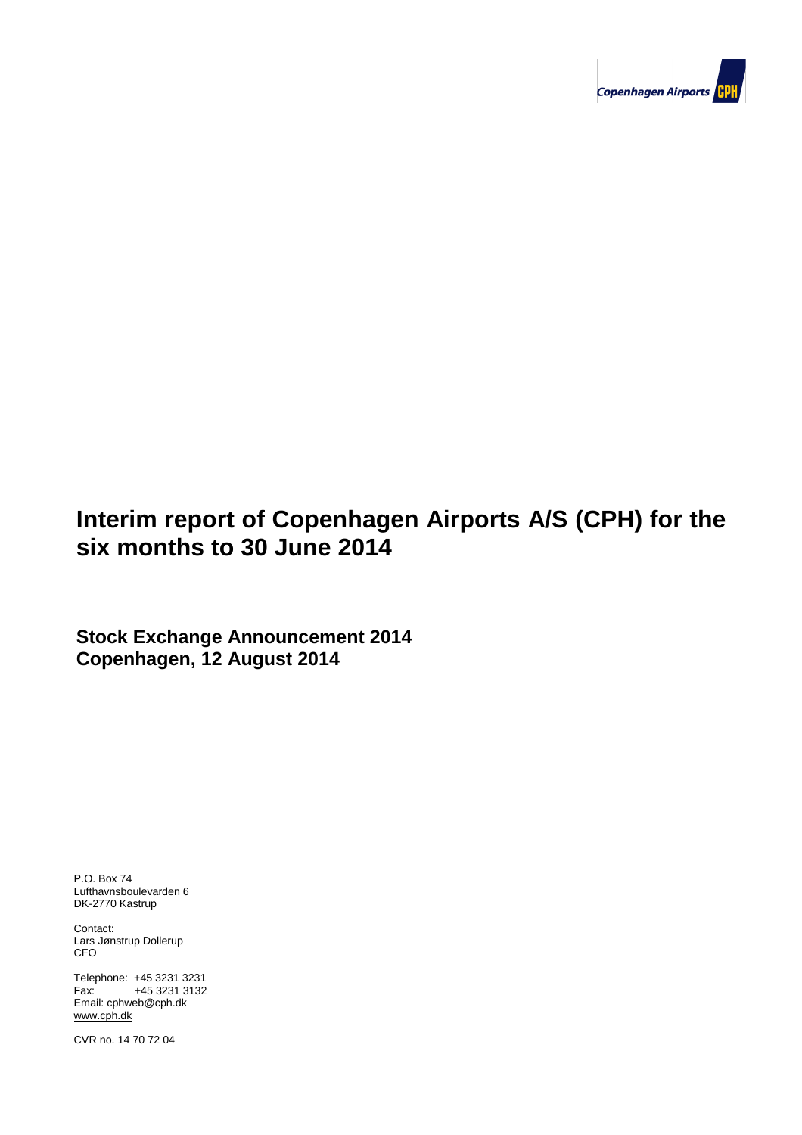

# **Interim report of Copenhagen Airports A/S (CPH) for the**  six months to 30 June 2014

**Stock Exchange Announcement 2014 Copenhagen, 12 August 2014**

P.O. Box 74 Lufthavnsboulevarden 6 DK-2770 Kastrup

Contact: Lars Jønstrup Dollerup CFO

**Contents** Telephone: +45 3231 3231 **Contents** Fax: +45 3231 3132 Email: cphweb@cph.dk www.cph.dk

Company and the set of 24 page 1 of 24 page 1 of 24 page 1 of 24 page 1 of 24 page 1 of 24 page 1 of 24 page 1 CVR no. 14 70 72 04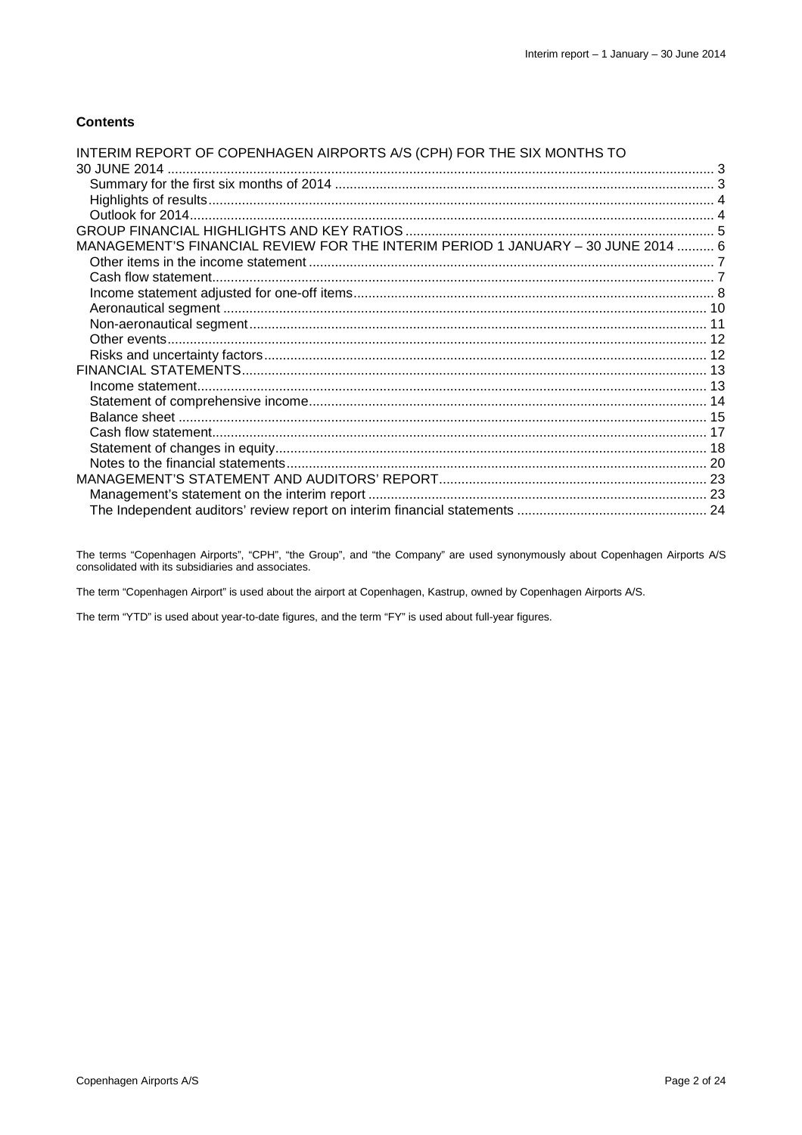### **Contents**

| INTERIM REPORT OF COPENHAGEN AIRPORTS A/S (CPH) FOR THE SIX MONTHS TO            |  |
|----------------------------------------------------------------------------------|--|
|                                                                                  |  |
|                                                                                  |  |
|                                                                                  |  |
|                                                                                  |  |
|                                                                                  |  |
| MANAGEMENT'S FINANCIAL REVIEW FOR THE INTERIM PERIOD 1 JANUARY - 30 JUNE 2014  6 |  |
|                                                                                  |  |
|                                                                                  |  |
|                                                                                  |  |
|                                                                                  |  |
|                                                                                  |  |
|                                                                                  |  |
|                                                                                  |  |
|                                                                                  |  |
|                                                                                  |  |
|                                                                                  |  |
|                                                                                  |  |
|                                                                                  |  |
|                                                                                  |  |
|                                                                                  |  |
|                                                                                  |  |
|                                                                                  |  |
|                                                                                  |  |

The terms "Copenhagen Airports", "CPH", "the Group", and "the Company" are used synonymously about Copenhagen Airports A/S consolidated with its subsidiaries and associates.

The term "Copenhagen Airport" is used about the airport at Copenhagen, Kastrup, owned by Copenhagen Airports A/S.

The term "YTD" is used about year-to-date figures, and the term "FY" is used about full-year figures.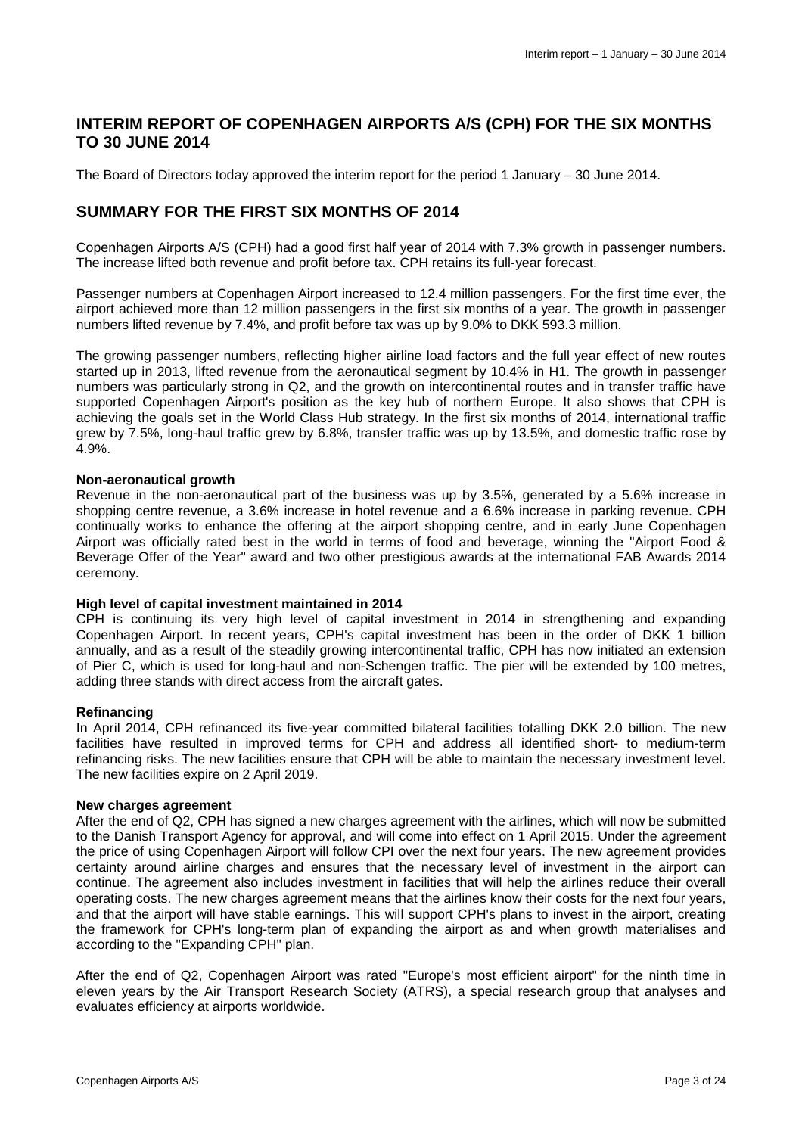### **INTERIM REPORT OF COPENHAGEN AIRPORTS A/S (CPH) FOR THE SIX MONTHS TO 30 JUNE 2014**

The Board of Directors today approved the interim report for the period 1 January – 30 June 2014.

### **SUMMARY FOR THE FIRST SIX MONTHS OF 2014**

Copenhagen Airports A/S (CPH) had a good first half year of 2014 with 7.3% growth in passenger numbers. The increase lifted both revenue and profit before tax. CPH retains its full-year forecast.

Passenger numbers at Copenhagen Airport increased to 12.4 million passengers. For the first time ever, the airport achieved more than 12 million passengers in the first six months of a year. The growth in passenger numbers lifted revenue by 7.4%, and profit before tax was up by 9.0% to DKK 593.3 million.

The growing passenger numbers, reflecting higher airline load factors and the full year effect of new routes started up in 2013, lifted revenue from the aeronautical segment by 10.4% in H1. The growth in passenger numbers was particularly strong in Q2, and the growth on intercontinental routes and in transfer traffic have supported Copenhagen Airport's position as the key hub of northern Europe. It also shows that CPH is achieving the goals set in the World Class Hub strategy. In the first six months of 2014, international traffic grew by 7.5%, long-haul traffic grew by 6.8%, transfer traffic was up by 13.5%, and domestic traffic rose by 4.9%.

#### **Non-aeronautical growth**

Revenue in the non-aeronautical part of the business was up by 3.5%, generated by a 5.6% increase in shopping centre revenue, a 3.6% increase in hotel revenue and a 6.6% increase in parking revenue. CPH continually works to enhance the offering at the airport shopping centre, and in early June Copenhagen Airport was officially rated best in the world in terms of food and beverage, winning the "Airport Food & Beverage Offer of the Year" award and two other prestigious awards at the international FAB Awards 2014 ceremony.

#### **High level of capital investment maintained in 2014**

CPH is continuing its very high level of capital investment in 2014 in strengthening and expanding Copenhagen Airport. In recent years, CPH's capital investment has been in the order of DKK 1 billion annually, and as a result of the steadily growing intercontinental traffic, CPH has now initiated an extension of Pier C, which is used for long-haul and non-Schengen traffic. The pier will be extended by 100 metres, adding three stands with direct access from the aircraft gates.

#### **Refinancing**

In April 2014, CPH refinanced its five-year committed bilateral facilities totalling DKK 2.0 billion. The new facilities have resulted in improved terms for CPH and address all identified short- to medium-term refinancing risks. The new facilities ensure that CPH will be able to maintain the necessary investment level. The new facilities expire on 2 April 2019.

#### **New charges agreement**

After the end of Q2, CPH has signed a new charges agreement with the airlines, which will now be submitted to the Danish Transport Agency for approval, and will come into effect on 1 April 2015. Under the agreement the price of using Copenhagen Airport will follow CPI over the next four years. The new agreement provides certainty around airline charges and ensures that the necessary level of investment in the airport can continue. The agreement also includes investment in facilities that will help the airlines reduce their overall operating costs. The new charges agreement means that the airlines know their costs for the next four years, and that the airport will have stable earnings. This will support CPH's plans to invest in the airport, creating the framework for CPH's long-term plan of expanding the airport as and when growth materialises and according to the "Expanding CPH" plan.

After the end of Q2, Copenhagen Airport was rated "Europe's most efficient airport" for the ninth time in eleven years by the Air Transport Research Society (ATRS), a special research group that analyses and evaluates efficiency at airports worldwide.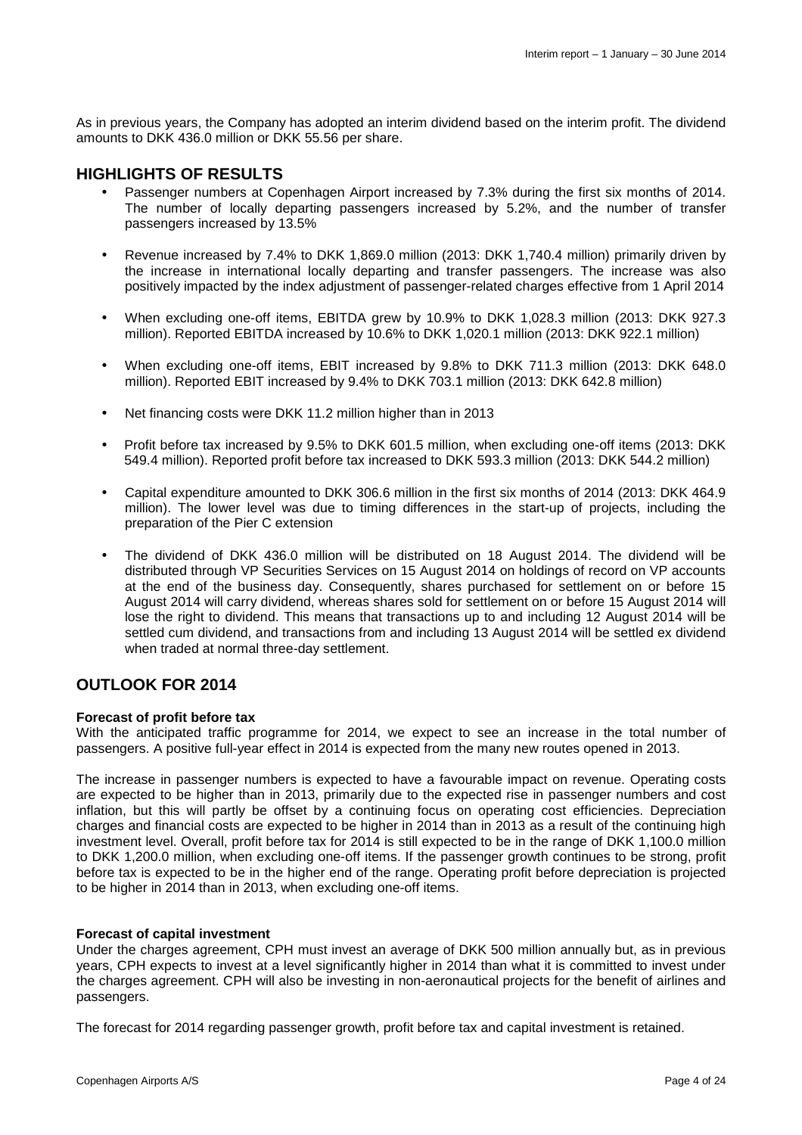As in previous years, the Company has adopted an interim dividend based on the interim profit. The dividend amounts to DKK 436.0 million or DKK 55.56 per share.

### **HIGHLIGHTS OF RESULTS**

- Passenger numbers at Copenhagen Airport increased by 7.3% during the first six months of 2014. The number of locally departing passengers increased by 5.2%, and the number of transfer passengers increased by 13.5%
- Revenue increased by 7.4% to DKK 1,869.0 million (2013: DKK 1,740.4 million) primarily driven by the increase in international locally departing and transfer passengers. The increase was also positively impacted by the index adjustment of passenger-related charges effective from 1 April 2014
- When excluding one-off items, EBITDA grew by 10.9% to DKK 1,028.3 million (2013: DKK 927.3 million). Reported EBITDA increased by 10.6% to DKK 1,020.1 million (2013: DKK 922.1 million)
- When excluding one-off items, EBIT increased by 9.8% to DKK 711.3 million (2013: DKK 648.0 million). Reported EBIT increased by 9.4% to DKK 703.1 million (2013: DKK 642.8 million)
- Net financing costs were DKK 11.2 million higher than in 2013
- Profit before tax increased by 9.5% to DKK 601.5 million, when excluding one-off items (2013: DKK 549.4 million). Reported profit before tax increased to DKK 593.3 million (2013: DKK 544.2 million)
- Capital expenditure amounted to DKK 306.6 million in the first six months of 2014 (2013: DKK 464.9 million). The lower level was due to timing differences in the start-up of projects, including the preparation of the Pier C extension
- The dividend of DKK 436.0 million will be distributed on 18 August 2014. The dividend will be distributed through VP Securities Services on 15 August 2014 on holdings of record on VP accounts at the end of the business day. Consequently, shares purchased for settlement on or before 15 August 2014 will carry dividend, whereas shares sold for settlement on or before 15 August 2014 will lose the right to dividend. This means that transactions up to and including 12 August 2014 will be settled cum dividend, and transactions from and including 13 August 2014 will be settled ex dividend when traded at normal three-day settlement.

### **OUTLOOK FOR 2014**

#### **Forecast of profit before tax**

With the anticipated traffic programme for 2014, we expect to see an increase in the total number of passengers. A positive full-year effect in 2014 is expected from the many new routes opened in 2013.

The increase in passenger numbers is expected to have a favourable impact on revenue. Operating costs are expected to be higher than in 2013, primarily due to the expected rise in passenger numbers and cost inflation, but this will partly be offset by a continuing focus on operating cost efficiencies. Depreciation charges and financial costs are expected to be higher in 2014 than in 2013 as a result of the continuing high investment level. Overall, profit before tax for 2014 is still expected to be in the range of DKK 1,100.0 million to DKK 1,200.0 million, when excluding one-off items. If the passenger growth continues to be strong, profit before tax is expected to be in the higher end of the range. Operating profit before depreciation is projected to be higher in 2014 than in 2013, when excluding one-off items.

#### **Forecast of capital investment**

Under the charges agreement, CPH must invest an average of DKK 500 million annually but, as in previous years, CPH expects to invest at a level significantly higher in 2014 than what it is committed to invest under the charges agreement. CPH will also be investing in non-aeronautical projects for the benefit of airlines and passengers.

The forecast for 2014 regarding passenger growth, profit before tax and capital investment is retained.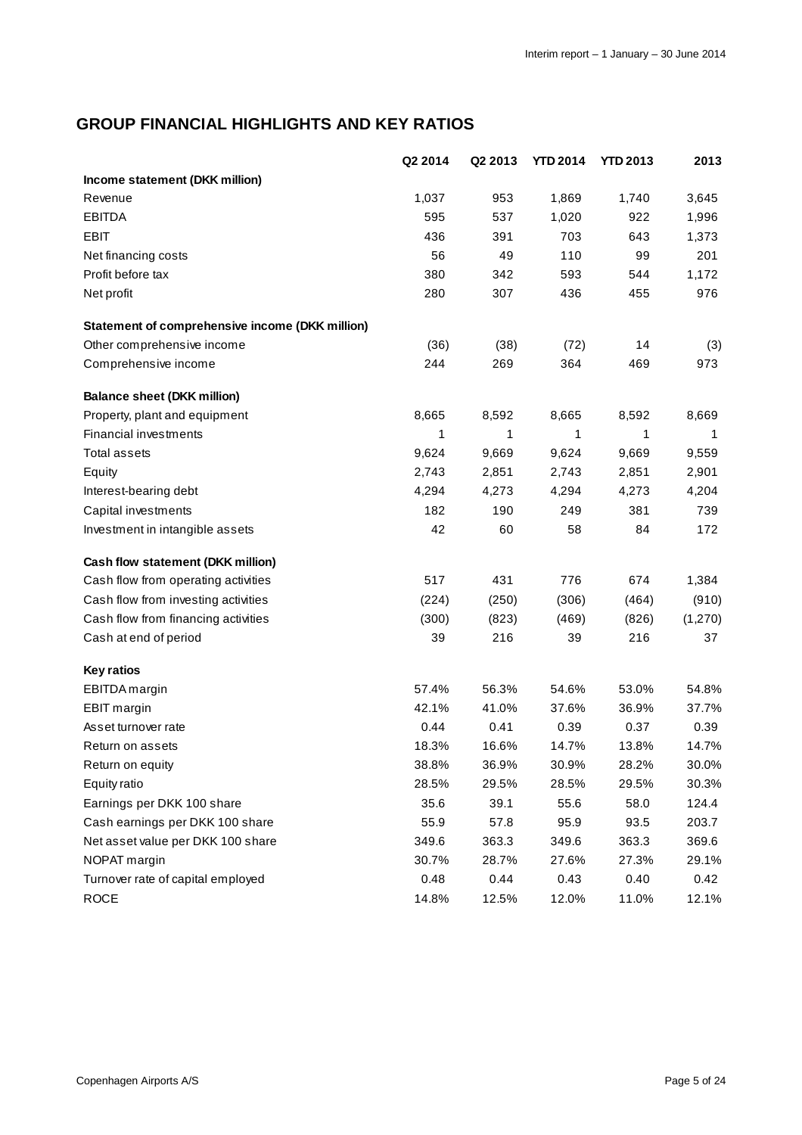# **GROUP FINANCIAL HIGHLIGHTS AND KEY RATIOS**

|                                                 | Q2 2014 | Q2 2013 | <b>YTD 2014</b> | <b>YTD 2013</b> | 2013    |
|-------------------------------------------------|---------|---------|-----------------|-----------------|---------|
| Income statement (DKK million)                  |         |         |                 |                 |         |
| Revenue                                         | 1,037   | 953     | 1,869           | 1,740           | 3,645   |
| <b>EBITDA</b>                                   | 595     | 537     | 1,020           | 922             | 1,996   |
| <b>EBIT</b>                                     | 436     | 391     | 703             | 643             | 1,373   |
| Net financing costs                             | 56      | 49      | 110             | 99              | 201     |
| Profit before tax                               | 380     | 342     | 593             | 544             | 1,172   |
| Net profit                                      | 280     | 307     | 436             | 455             | 976     |
| Statement of comprehensive income (DKK million) |         |         |                 |                 |         |
| Other comprehensive income                      | (36)    | (38)    | (72)            | 14              | (3)     |
| Comprehensive income                            | 244     | 269     | 364             | 469             | 973     |
| <b>Balance sheet (DKK million)</b>              |         |         |                 |                 |         |
| Property, plant and equipment                   | 8,665   | 8,592   | 8,665           | 8,592           | 8,669   |
| Financial investments                           | 1       | 1       | 1               | 1               | 1       |
| <b>Total assets</b>                             | 9,624   | 9,669   | 9,624           | 9,669           | 9,559   |
| Equity                                          | 2,743   | 2,851   | 2,743           | 2,851           | 2,901   |
| Interest-bearing debt                           | 4,294   | 4,273   | 4,294           | 4,273           | 4,204   |
| Capital investments                             | 182     | 190     | 249             | 381             | 739     |
| Investment in intangible assets                 | 42      | 60      | 58              | 84              | 172     |
| Cash flow statement (DKK million)               |         |         |                 |                 |         |
| Cash flow from operating activities             | 517     | 431     | 776             | 674             | 1,384   |
| Cash flow from investing activities             | (224)   | (250)   | (306)           | (464)           | (910)   |
| Cash flow from financing activities             | (300)   | (823)   | (469)           | (826)           | (1,270) |
| Cash at end of period                           | 39      | 216     | 39              | 216             | 37      |
| <b>Key ratios</b>                               |         |         |                 |                 |         |
| EBITDA margin                                   | 57.4%   | 56.3%   | 54.6%           | 53.0%           | 54.8%   |
| <b>EBIT</b> margin                              | 42.1%   | 41.0%   | 37.6%           | 36.9%           | 37.7%   |
| Asset turnover rate                             | 0.44    | 0.41    | 0.39            | 0.37            | 0.39    |
| Return on assets                                | 18.3%   | 16.6%   | 14.7%           | 13.8%           | 14.7%   |
| Return on equity                                | 38.8%   | 36.9%   | 30.9%           | 28.2%           | 30.0%   |
| <b>Equity ratio</b>                             | 28.5%   | 29.5%   | 28.5%           | 29.5%           | 30.3%   |
| Earnings per DKK 100 share                      | 35.6    | 39.1    | 55.6            | 58.0            | 124.4   |
| Cash earnings per DKK 100 share                 | 55.9    | 57.8    | 95.9            | 93.5            | 203.7   |
| Net asset value per DKK 100 share               | 349.6   | 363.3   | 349.6           | 363.3           | 369.6   |
| NOPAT margin                                    | 30.7%   | 28.7%   | 27.6%           | 27.3%           | 29.1%   |
| Turnover rate of capital employed               | 0.48    | 0.44    | 0.43            | 0.40            | 0.42    |
| <b>ROCE</b>                                     | 14.8%   | 12.5%   | 12.0%           | 11.0%           | 12.1%   |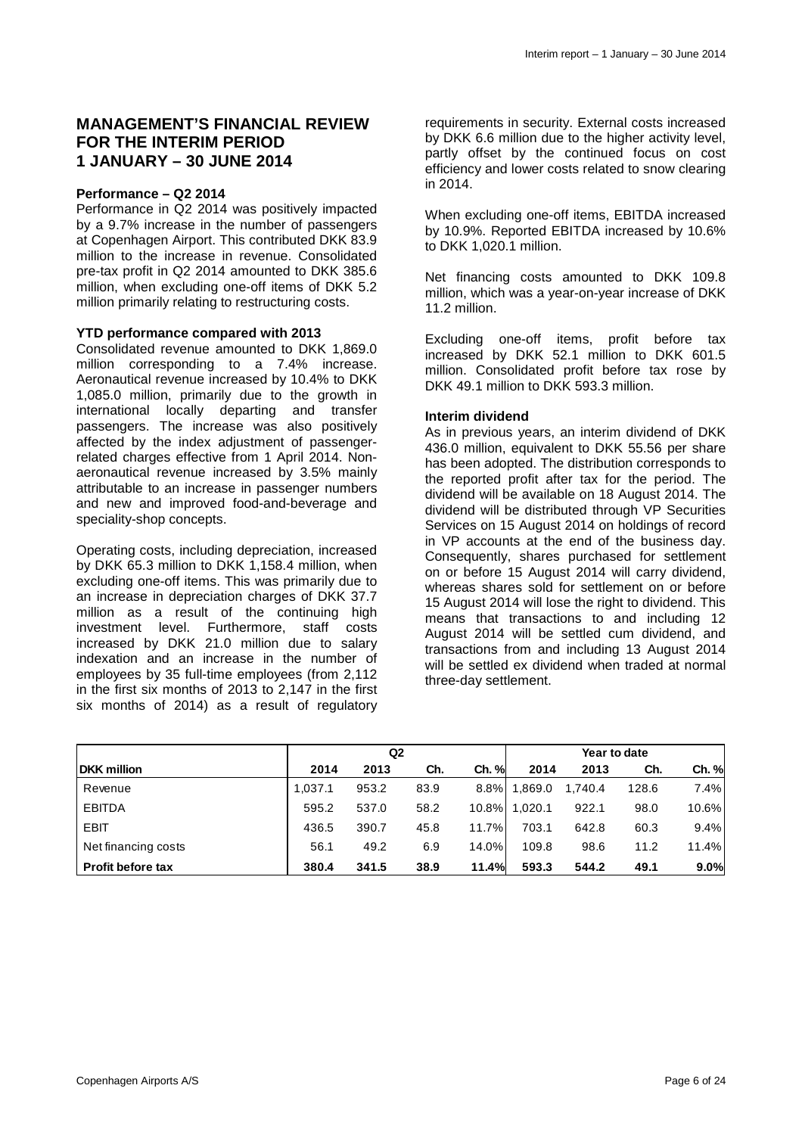### **MANAGEMENT'S FINANCIAL REVIEW FOR THE INTERIM PERIOD 1 JANUARY – 30 JUNE 2014**

#### **Performance – Q2 2014**

Performance in Q2 2014 was positively impacted by a 9.7% increase in the number of passengers at Copenhagen Airport. This contributed DKK 83.9 million to the increase in revenue. Consolidated pre-tax profit in Q2 2014 amounted to DKK 385.6 million, when excluding one-off items of DKK 5.2 million primarily relating to restructuring costs.

#### **YTD performance compared with 2013**

Consolidated revenue amounted to DKK 1,869.0 million corresponding to a 7.4% increase. Aeronautical revenue increased by 10.4% to DKK 1,085.0 million, primarily due to the growth in international locally departing and transfer passengers. The increase was also positively affected by the index adjustment of passengerrelated charges effective from 1 April 2014. Nonaeronautical revenue increased by 3.5% mainly attributable to an increase in passenger numbers and new and improved food-and-beverage and speciality-shop concepts.

Operating costs, including depreciation, increased by DKK 65.3 million to DKK 1,158.4 million, when excluding one-off items. This was primarily due to an increase in depreciation charges of DKK 37.7 million as a result of the continuing high investment level. Furthermore, staff costs increased by DKK 21.0 million due to salary indexation and an increase in the number of employees by 35 full-time employees (from 2,112 in the first six months of 2013 to 2,147 in the first six months of 2014) as a result of regulatory

requirements in security. External costs increased by DKK 6.6 million due to the higher activity level, partly offset by the continued focus on cost efficiency and lower costs related to snow clearing in 2014.

When excluding one-off items, EBITDA increased by 10.9%. Reported EBITDA increased by 10.6% to DKK 1,020.1 million.

Net financing costs amounted to DKK 109.8 million, which was a year-on-year increase of DKK 11.2 million.

Excluding one-off items, profit before tax increased by DKK 52.1 million to DKK 601.5 million. Consolidated profit before tax rose by DKK 49.1 million to DKK 593.3 million.

#### **Interim dividend**

As in previous years, an interim dividend of DKK 436.0 million, equivalent to DKK 55.56 per share has been adopted. The distribution corresponds to the reported profit after tax for the period. The dividend will be available on 18 August 2014. The dividend will be distributed through VP Securities Services on 15 August 2014 on holdings of record in VP accounts at the end of the business day. Consequently, shares purchased for settlement on or before 15 August 2014 will carry dividend, whereas shares sold for settlement on or before 15 August 2014 will lose the right to dividend. This means that transactions to and including 12 August 2014 will be settled cum dividend, and transactions from and including 13 August 2014 will be settled ex dividend when traded at normal three-day settlement.

|                          | Q <sub>2</sub> |       |      |          | Year to date |         |       |       |
|--------------------------|----------------|-------|------|----------|--------------|---------|-------|-------|
| <b>DKK</b> million       | 2014           | 2013  | Ch.  | Ch. %    | 2014         | 2013    | Ch.   | Ch. % |
| Revenue                  | 1.037.1        | 953.2 | 83.9 | 8.8%     | 1.869.0      | 1,740.4 | 128.6 | 7.4%  |
| <b>EBITDA</b>            | 595.2          | 537.0 | 58.2 | $10.8\%$ | 1.020.1      | 922.1   | 98.0  | 10.6% |
| <b>EBIT</b>              | 436.5          | 390.7 | 45.8 | 11.7%    | 703.1        | 642.8   | 60.3  | 9.4%  |
| Net financing costs      | 56.1           | 49.2  | 6.9  | 14.0%    | 109.8        | 98.6    | 11.2  | 11.4% |
| <b>Profit before tax</b> | 380.4          | 341.5 | 38.9 | 11.4%    | 593.3        | 544.2   | 49.1  | 9.0%  |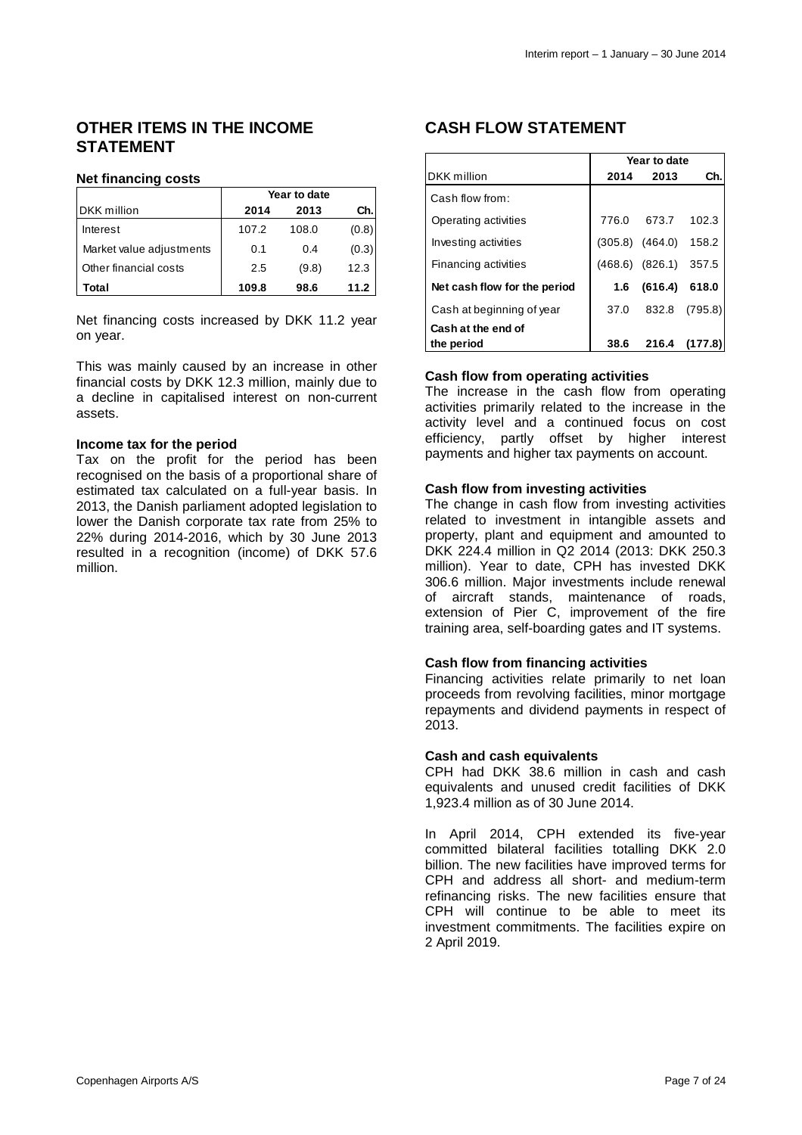### **OTHER ITEMS IN THE INCOME STATEMENT**

#### **Net financing costs**

|                          | Year to date |       |       |  |  |
|--------------------------|--------------|-------|-------|--|--|
| <b>DKK</b> million       | 2014         | 2013  | Ch.   |  |  |
| Interest                 | 107.2        | 108.0 | (0.8) |  |  |
| Market value adjustments | 0.1          | 0.4   | (0.3) |  |  |
| Other financial costs    | 2.5          | (9.8) | 12.3  |  |  |
| Total                    | 109.8        | 98.6  | 11.2  |  |  |

Net financing costs increased by DKK 11.2 year on year.

This was mainly caused by an increase in other financial costs by DKK 12.3 million, mainly due to a decline in capitalised interest on non-current assets.

#### **Income tax for the period**

Tax on the profit for the period has been recognised on the basis of a proportional share of estimated tax calculated on a full-year basis. In 2013, the Danish parliament adopted legislation to lower the Danish corporate tax rate from 25% to 22% during 2014-2016, which by 30 June 2013 resulted in a recognition (income) of DKK 57.6 million.

### **CASH FLOW STATEMENT**

|                              | Year to date |                           |               |  |  |
|------------------------------|--------------|---------------------------|---------------|--|--|
| <b>DKK</b> million           | 2014         | 2013                      | Ch.           |  |  |
| Cash flow from:              |              |                           |               |  |  |
| Operating activities         |              | 776.0 673.7 102.3         |               |  |  |
| Investing activities         |              | $(305.8)$ $(464.0)$ 158.2 |               |  |  |
| Financing activities         |              | (468.6) (826.1) 357.5     |               |  |  |
| Net cash flow for the period | 1.6          | (616.4) 618.0             |               |  |  |
| Cash at beginning of year    | 37.0         |                           | 832.8 (795.8) |  |  |
| Cash at the end of           |              |                           |               |  |  |
| the period                   | 38.6         | 216.4                     | (177.8)       |  |  |

### **Cash flow from operating activities**

The increase in the cash flow from operating activities primarily related to the increase in the activity level and a continued focus on cost efficiency, partly offset by higher interest payments and higher tax payments on account.

#### **Cash flow from investing activities**

The change in cash flow from investing activities related to investment in intangible assets and property, plant and equipment and amounted to DKK 224.4 million in Q2 2014 (2013: DKK 250.3 million). Year to date, CPH has invested DKK 306.6 million. Major investments include renewal of aircraft stands, maintenance of roads, extension of Pier C, improvement of the fire training area, self-boarding gates and IT systems.

### **Cash flow from financing activities**

Financing activities relate primarily to net loan proceeds from revolving facilities, minor mortgage repayments and dividend payments in respect of 2013.

#### **Cash and cash equivalents**

CPH had DKK 38.6 million in cash and cash equivalents and unused credit facilities of DKK 1,923.4 million as of 30 June 2014.

In April 2014, CPH extended its five-year committed bilateral facilities totalling DKK 2.0 billion. The new facilities have improved terms for CPH and address all short- and medium-term refinancing risks. The new facilities ensure that CPH will continue to be able to meet its investment commitments. The facilities expire on 2 April 2019.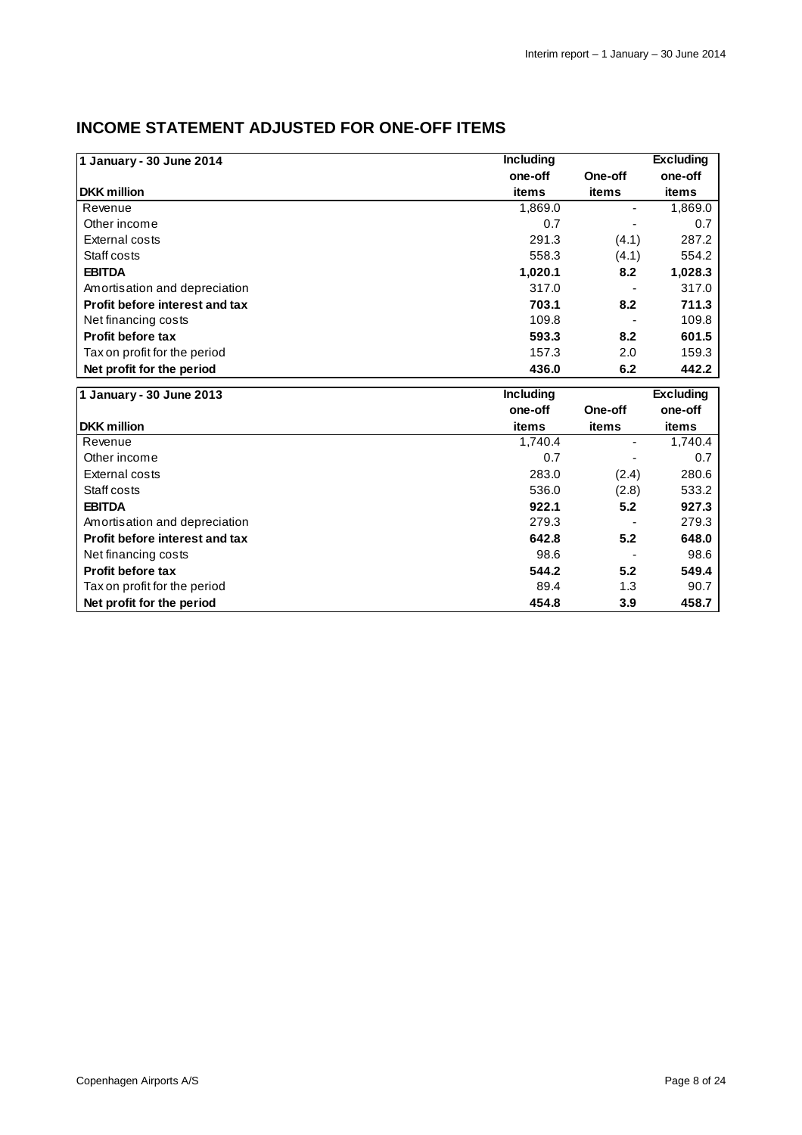# **INCOME STATEMENT ADJUSTED FOR ONE-OFF ITEMS**

| 1 January - 30 June 2014       | <b>Including</b> | <b>Excluding</b> |         |
|--------------------------------|------------------|------------------|---------|
|                                | one-off          | One-off          | one-off |
| <b>DKK</b> million             | items            | items            | items   |
| Revenue                        | 1,869.0          | ۰.               | 1,869.0 |
| Other income                   | 0.7              |                  | 0.7     |
| External costs                 | 291.3            | (4.1)            | 287.2   |
| Staff costs                    | 558.3            | (4.1)            | 554.2   |
| <b>EBITDA</b>                  | 1,020.1          | 8.2              | 1,028.3 |
| Amortisation and depreciation  | 317.0            |                  | 317.0   |
| Profit before interest and tax | 703.1            | 8.2              | 711.3   |
| Net financing costs            | 109.8            |                  | 109.8   |
| <b>Profit before tax</b>       | 593.3            | 8.2              | 601.5   |
| Tax on profit for the period   | 157.3            | 2.0              | 159.3   |
| Net profit for the period      | 436.0            | 6.2              | 442.2   |
| .<br>-- -<br>$- - - -$         | .                |                  | _ _ _   |

| 1 January - 30 June 2013       | <b>Including</b> |         |         |  |  |
|--------------------------------|------------------|---------|---------|--|--|
|                                | one-off          | One-off | one-off |  |  |
| <b>DKK</b> million             | items            | items   | items   |  |  |
| Revenue                        | 1,740.4          | -       | 1,740.4 |  |  |
| Other income                   | 0.7              |         | 0.7     |  |  |
| External costs                 | 283.0            | (2.4)   | 280.6   |  |  |
| Staff costs                    | 536.0            | (2.8)   | 533.2   |  |  |
| <b>EBITDA</b>                  | 922.1            | 5.2     | 927.3   |  |  |
| Amortisation and depreciation  | 279.3            |         | 279.3   |  |  |
| Profit before interest and tax | 642.8            | 5.2     | 648.0   |  |  |
| Net financing costs            | 98.6             |         | 98.6    |  |  |
| <b>Profit before tax</b>       | 544.2            | 5.2     | 549.4   |  |  |
| Tax on profit for the period   | 89.4             | 1.3     | 90.7    |  |  |
| Net profit for the period      | 454.8            | 3.9     | 458.7   |  |  |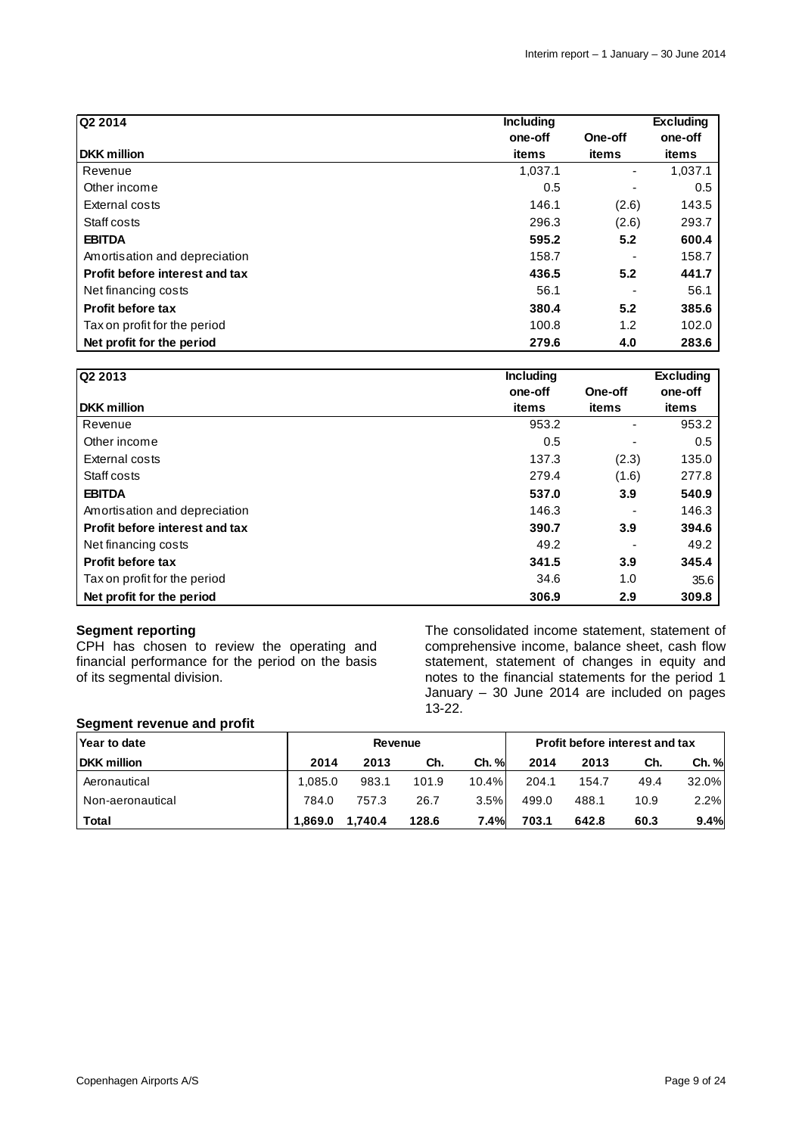| Q2 2014                        | <b>Including</b> |         | <b>Excluding</b> |
|--------------------------------|------------------|---------|------------------|
|                                | one-off          | One-off | one-off          |
| <b>DKK</b> million             | items            | items   | items            |
| Revenue                        | 1,037.1          |         | 1,037.1          |
| Other income                   | 0.5              |         | 0.5              |
| External costs                 | 146.1            | (2.6)   | 143.5            |
| Staff costs                    | 296.3            | (2.6)   | 293.7            |
| <b>EBITDA</b>                  | 595.2            | 5.2     | 600.4            |
| Amortisation and depreciation  | 158.7            |         | 158.7            |
| Profit before interest and tax | 436.5            | 5.2     | 441.7            |
| Net financing costs            | 56.1             |         | 56.1             |
| <b>Profit before tax</b>       | 380.4            | 5.2     | 385.6            |
| Tax on profit for the period   | 100.8            | 1.2     | 102.0            |
| Net profit for the period      | 279.6            | 4.0     | 283.6            |

| Q2 2013                        | <b>Including</b> |                          | <b>Excluding</b> |
|--------------------------------|------------------|--------------------------|------------------|
|                                | one-off          | One-off                  | one-off          |
| <b>DKK</b> million             | items            | items                    | items            |
| Revenue                        | 953.2            | $\overline{\phantom{a}}$ | 953.2            |
| Other income                   | 0.5              |                          | 0.5              |
| External costs                 | 137.3            | (2.3)                    | 135.0            |
| Staff costs                    | 279.4            | (1.6)                    | 277.8            |
| <b>EBITDA</b>                  | 537.0            | 3.9                      | 540.9            |
| Amortisation and depreciation  | 146.3            |                          | 146.3            |
| Profit before interest and tax | 390.7            | 3.9                      | 394.6            |
| Net financing costs            | 49.2             |                          | 49.2             |
| <b>Profit before tax</b>       | 341.5            | 3.9                      | 345.4            |
| Tax on profit for the period   | 34.6             | 1.0                      | 35.6             |
| Net profit for the period      | 306.9            | 2.9                      | 309.8            |

### **Segment reporting**

CPH has chosen to review the operating and financial performance for the period on the basis of its segmental division.

The consolidated income statement, statement of comprehensive income, balance sheet, cash flow statement, statement of changes in equity and notes to the financial statements for the period 1 January – 30 June 2014 are included on pages 13-22.

#### **Segment revenue and profit**

| Year to date       |         | Revenue |       |          |       |       | <b>Profit before interest and tax</b> |       |
|--------------------|---------|---------|-------|----------|-------|-------|---------------------------------------|-------|
| <b>DKK</b> million | 2014    | 2013    | Ch.   | Ch. %    | 2014  | 2013  | Ch.                                   | Ch. % |
| Aeronautical       | 1.085.0 | 983.1   | 101.9 | $10.4\%$ | 204.1 | 154.7 | 49.4                                  | 32.0% |
| Non-aeronautical   | 784.0   | 757.3   | 26.7  | $3.5\%$  | 499.0 | 488.1 | 10.9                                  | 2.2%  |
| <b>Total</b>       | 1,869.0 | 1,740.4 | 128.6 | 7.4%     | 703.1 | 642.8 | 60.3                                  | 9.4%  |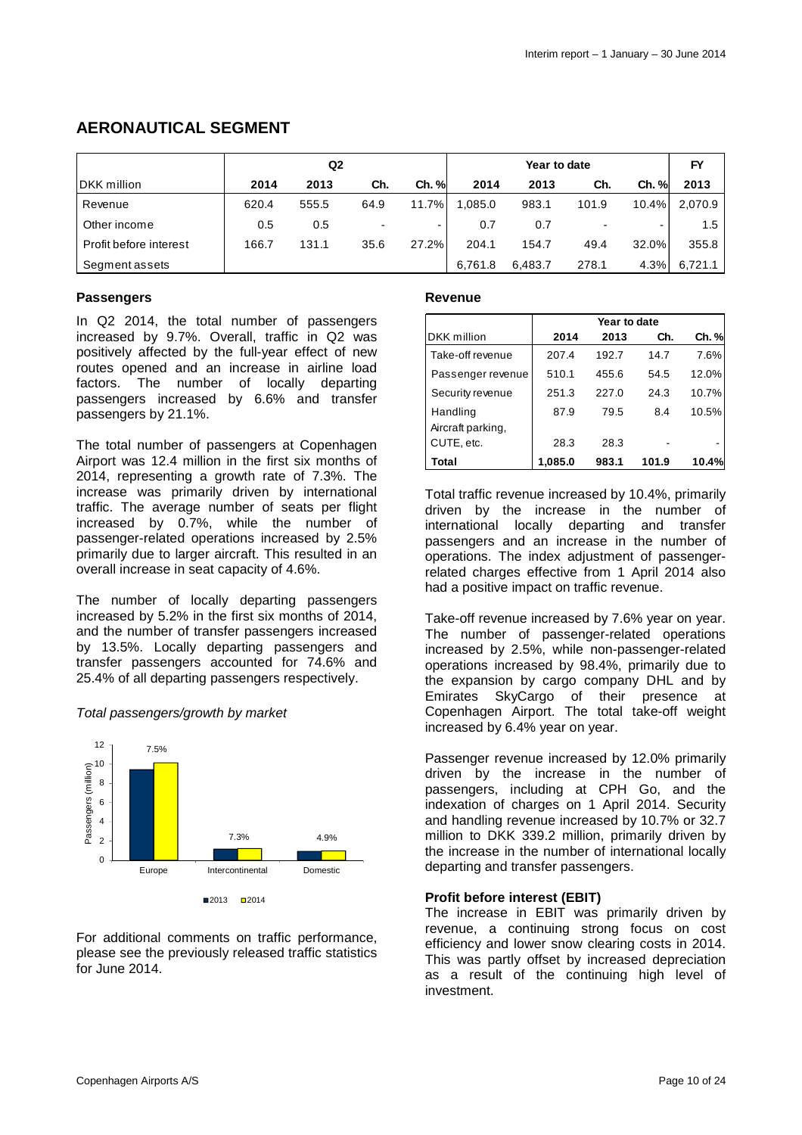### **AERONAUTICAL SEGMENT**

|                        | Q2    |       |      |       | Year to date |         |       |       | FY            |
|------------------------|-------|-------|------|-------|--------------|---------|-------|-------|---------------|
| <b>DKK</b> million     | 2014  | 2013  | Ch.  | Ch. % | 2014         | 2013    | Ch.   | Ch. % | 2013          |
| Revenue                | 620.4 | 555.5 | 64.9 | 11.7% | .085.0       | 983.1   | 101.9 | 10.4% | 2,070.9       |
| Other income           | 0.5   | 0.5   |      |       | 0.7          | 0.7     |       |       | $1.5^{\circ}$ |
| Profit before interest | 166.7 | 131.1 | 35.6 | 27.2% | 204.1        | 154.7   | 49.4  | 32.0% | 355.8         |
| Segment assets         |       |       |      |       | 6.761.8      | 6,483.7 | 278.1 | 4.3%  | 6,721.1       |

#### **Passengers**

In Q2 2014, the total number of passengers increased by 9.7%. Overall, traffic in Q2 was positively affected by the full-year effect of new routes opened and an increase in airline load factors. The number of locally departing passengers increased by 6.6% and transfer passengers by 21.1%.

The total number of passengers at Copenhagen Airport was 12.4 million in the first six months of 2014, representing a growth rate of 7.3%. The increase was primarily driven by international traffic. The average number of seats per flight increased by 0.7%, while the number of passenger-related operations increased by 2.5% primarily due to larger aircraft. This resulted in an overall increase in seat capacity of 4.6%.

The number of locally departing passengers increased by 5.2% in the first six months of 2014, and the number of transfer passengers increased by 13.5%. Locally departing passengers and transfer passengers accounted for 74.6% and 25.4% of all departing passengers respectively.

### Total passengers/growth by market



For additional comments on traffic performance, please see the previously released traffic statistics for June 2014.

#### **Revenue**

|                                 | Year to date |       |       |       |  |  |  |
|---------------------------------|--------------|-------|-------|-------|--|--|--|
| DKK million                     | 2014         | 2013  | Ch.   | Ch. % |  |  |  |
| Take-off revenue                | 207.4        | 192.7 | 14.7  | 7.6%  |  |  |  |
| Passenger revenue               | 510.1        | 455.6 | 54.5  | 12.0% |  |  |  |
| Security revenue                | 251.3        | 227.0 | 24.3  | 10.7% |  |  |  |
| Handling                        | 87.9         | 79.5  | 8.4   | 10.5% |  |  |  |
| Aircraft parking,<br>CUTE, etc. | 28.3         | 28.3  |       |       |  |  |  |
| Total                           | 1.085.0      | 983.1 | 101.9 | 10.4% |  |  |  |

Total traffic revenue increased by 10.4%, primarily driven by the increase in the number of international locally departing and transfer passengers and an increase in the number of operations. The index adjustment of passengerrelated charges effective from 1 April 2014 also had a positive impact on traffic revenue.

Take-off revenue increased by 7.6% year on year. The number of passenger-related operations increased by 2.5%, while non-passenger-related operations increased by 98.4%, primarily due to the expansion by cargo company DHL and by Emirates SkyCargo of their presence at Copenhagen Airport. The total take-off weight increased by 6.4% year on year.

Passenger revenue increased by 12.0% primarily driven by the increase in the number of passengers, including at CPH Go, and the indexation of charges on 1 April 2014. Security and handling revenue increased by 10.7% or 32.7 million to DKK 339.2 million, primarily driven by the increase in the number of international locally departing and transfer passengers.

#### **Profit before interest (EBIT)**

The increase in EBIT was primarily driven by revenue, a continuing strong focus on cost efficiency and lower snow clearing costs in 2014. This was partly offset by increased depreciation as a result of the continuing high level of investment.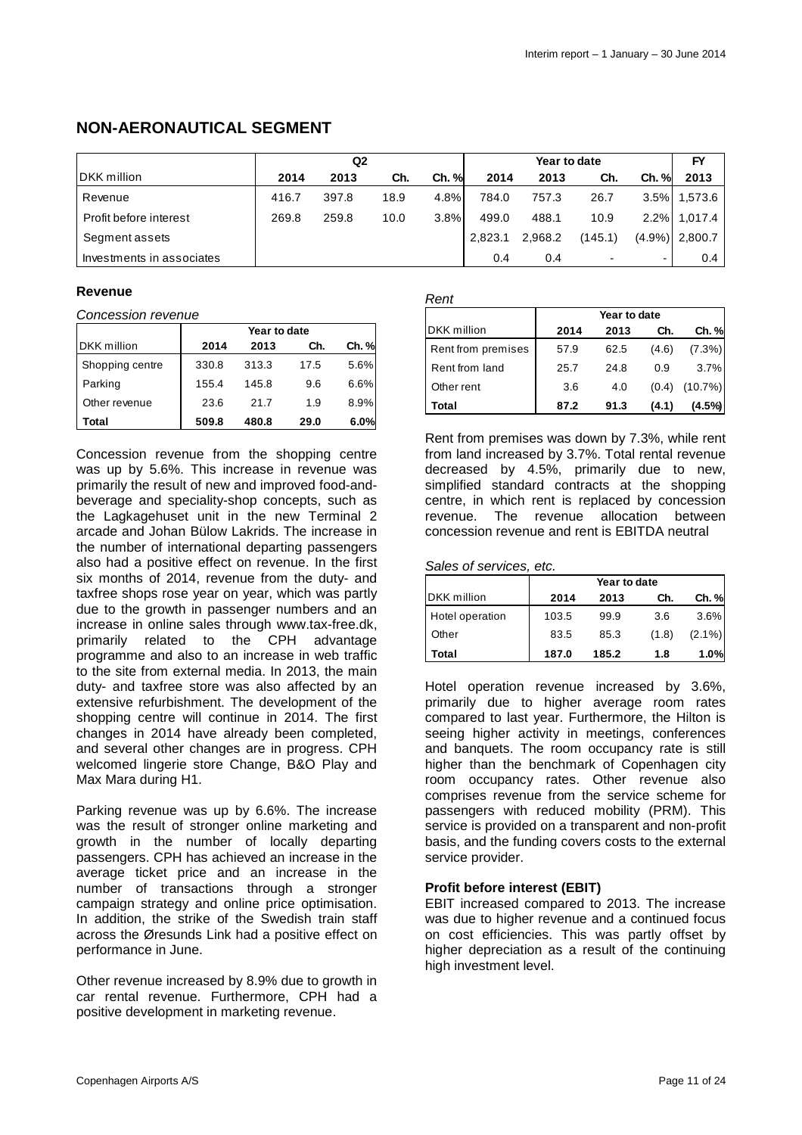### **NON-AERONAUTICAL SEGMENT**

|                           | Q <sub>2</sub><br>Year to date |       |      |       |         | FY      |         |          |                   |
|---------------------------|--------------------------------|-------|------|-------|---------|---------|---------|----------|-------------------|
| DKK million               | 2014                           | 2013  | Ch.  | Ch. % | 2014    | 2013    | Ch.     | $Ch. \%$ | 2013              |
| Revenue                   | 416.7                          | 397.8 | 18.9 | 4.8%  | 784.0   | 757.3   | 26.7    |          | 3.5% 1,573.6      |
| Profit before interest    | 269.8                          | 259.8 | 10.0 | 3.8%  | 499.0   | 488.1   | 10.9    |          | 2.2% 1.017.4      |
| Segment assets            |                                |       |      |       | 2,823.1 | 2,968.2 | (145.1) |          | $(4.9\%)$ 2,800.7 |
| Investments in associates |                                |       |      |       | 0.4     | 0.4     |         |          | 0.4               |

#### **Revenue**

Concession revenue

|                    | Year to date |       |      |       |  |
|--------------------|--------------|-------|------|-------|--|
| <b>DKK</b> million | 2014         | 2013  | Ch.  | Ch. % |  |
| Shopping centre    | 330.8        | 313.3 | 17.5 | 5.6%  |  |
| Parking            | 155.4        | 145.8 | 9.6  | 6.6%  |  |
| Other revenue      | 23.6         | 21.7  | 1.9  | 8.9%  |  |
| Total              | 509.8        | 480.8 | 29.0 | 6.0%  |  |

Concession revenue from the shopping centre was up by 5.6%. This increase in revenue was primarily the result of new and improved food-andbeverage and speciality-shop concepts, such as the Lagkagehuset unit in the new Terminal 2 arcade and Johan Bülow Lakrids. The increase in the number of international departing passengers also had a positive effect on revenue. In the first six months of 2014, revenue from the duty- and taxfree shops rose year on year, which was partly due to the growth in passenger numbers and an increase in online sales through www.tax-free.dk, primarily related to the CPH advantage programme and also to an increase in web traffic to the site from external media. In 2013, the main duty- and taxfree store was also affected by an extensive refurbishment. The development of the shopping centre will continue in 2014. The first changes in 2014 have already been completed, and several other changes are in progress. CPH welcomed lingerie store Change, B&O Play and Max Mara during H1.

Parking revenue was up by 6.6%. The increase was the result of stronger online marketing and growth in the number of locally departing passengers. CPH has achieved an increase in the average ticket price and an increase in the number of transactions through a stronger campaign strategy and online price optimisation. In addition, the strike of the Swedish train staff across the Øresunds Link had a positive effect on performance in June.

Other revenue increased by 8.9% due to growth in car rental revenue. Furthermore, CPH had a positive development in marketing revenue.

#### Rent

|              |      |       | , , vi             |              |      |       |            |
|--------------|------|-------|--------------------|--------------|------|-------|------------|
|              |      |       |                    | Year to date |      |       |            |
| Year to date |      |       | DKK million        | 2014         | 2013 | Ch.   | Ch. %      |
| 2013         | Ch.  | Ch. % | Rent from premises | 57.9         | 62.5 | (4.6) | $(7.3\%)$  |
| 313.3        | 17.5 | 5.6%  | Rent from land     | 25.7         | 24.8 | 0.9   | 3.7%       |
| 45.8         | 9.6  | 6.6%  | Other rent         | 3.6          | 4.0  | (0.4) | $(10.7\%)$ |
| 21.7         | 1.9  | 8.9%  | Total              | 87.2         | 91.3 | (4.1) | (4.5%)     |

Rent from premises was down by 7.3%, while rent from land increased by 3.7%. Total rental revenue decreased by 4.5%, primarily due to new, simplified standard contracts at the shopping centre, in which rent is replaced by concession revenue. The revenue allocation between concession revenue and rent is EBITDA neutral

#### Sales of services, etc.

|                    | Year to date |       |       |           |  |  |
|--------------------|--------------|-------|-------|-----------|--|--|
| <b>DKK</b> million | 2014         | 2013  | Ch.   | Ch. %     |  |  |
| Hotel operation    | 103.5        | 99.9  | 3.6   | 3.6%      |  |  |
| Other              | 83.5         | 85.3  | (1.8) | $(2.1\%)$ |  |  |
| Total              | 187.0        | 185.2 | 1.8   | 1.0%      |  |  |

Hotel operation revenue increased by 3.6%, primarily due to higher average room rates compared to last year. Furthermore, the Hilton is seeing higher activity in meetings, conferences and banquets. The room occupancy rate is still higher than the benchmark of Copenhagen city room occupancy rates. Other revenue also comprises revenue from the service scheme for passengers with reduced mobility (PRM). This service is provided on a transparent and non-profit basis, and the funding covers costs to the external service provider.

#### **Profit before interest (EBIT)**

EBIT increased compared to 2013. The increase was due to higher revenue and a continued focus on cost efficiencies. This was partly offset by higher depreciation as a result of the continuing high investment level.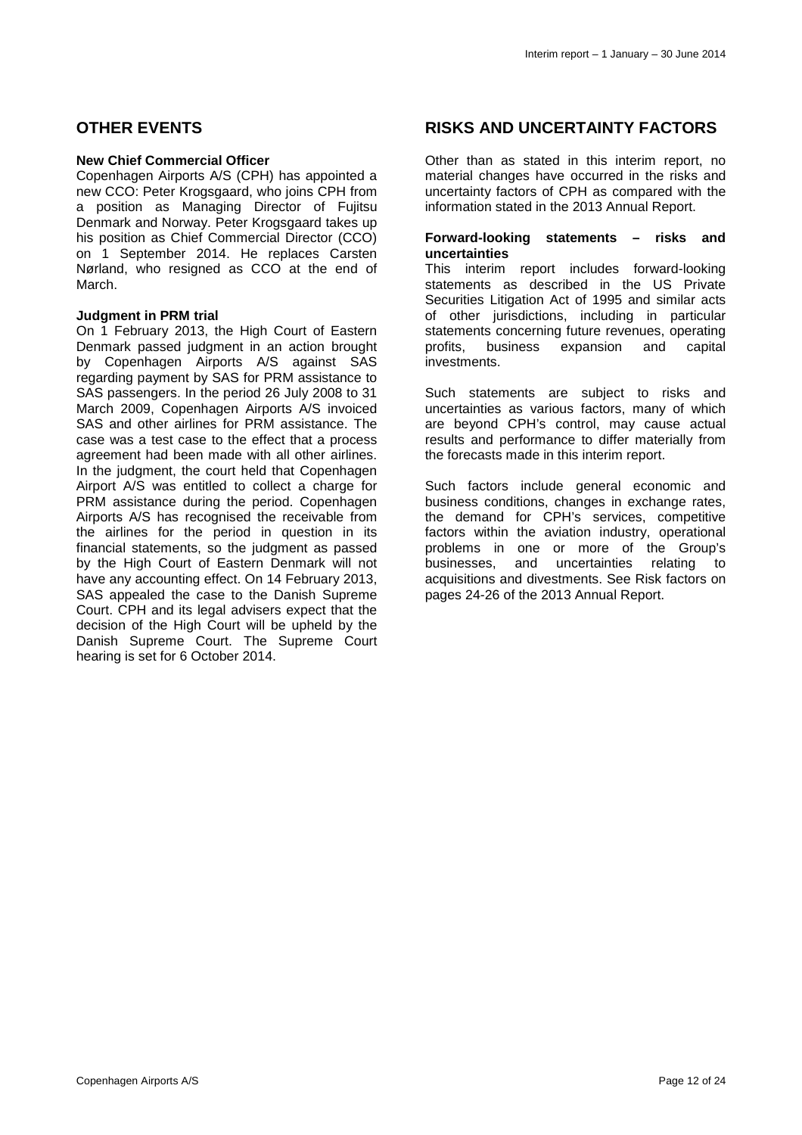### **OTHER EVENTS**

#### **New Chief Commercial Officer**

Copenhagen Airports A/S (CPH) has appointed a new CCO: Peter Krogsgaard, who joins CPH from a position as Managing Director of Fujitsu Denmark and Norway. Peter Krogsgaard takes up his position as Chief Commercial Director (CCO) on 1 September 2014. He replaces Carsten Nørland, who resigned as CCO at the end of March.

#### **Judgment in PRM trial**

On 1 February 2013, the High Court of Eastern Denmark passed judgment in an action brought by Copenhagen Airports A/S against SAS regarding payment by SAS for PRM assistance to SAS passengers. In the period 26 July 2008 to 31 March 2009, Copenhagen Airports A/S invoiced SAS and other airlines for PRM assistance. The case was a test case to the effect that a process agreement had been made with all other airlines. In the judgment, the court held that Copenhagen Airport A/S was entitled to collect a charge for PRM assistance during the period. Copenhagen Airports A/S has recognised the receivable from the airlines for the period in question in its financial statements, so the judgment as passed by the High Court of Eastern Denmark will not have any accounting effect. On 14 February 2013, SAS appealed the case to the Danish Supreme Court. CPH and its legal advisers expect that the decision of the High Court will be upheld by the Danish Supreme Court. The Supreme Court hearing is set for 6 October 2014.

### **RISKS AND UNCERTAINTY FACTORS**

Other than as stated in this interim report, no material changes have occurred in the risks and uncertainty factors of CPH as compared with the information stated in the 2013 Annual Report.

#### **Forward-looking statements – risks and uncertainties**

This interim report includes forward-looking statements as described in the US Private Securities Litigation Act of 1995 and similar acts of other jurisdictions, including in particular statements concerning future revenues, operating profits, business expansion and capital investments.

Such statements are subject to risks and uncertainties as various factors, many of which are beyond CPH's control, may cause actual results and performance to differ materially from the forecasts made in this interim report.

Such factors include general economic and business conditions, changes in exchange rates, the demand for CPH's services, competitive factors within the aviation industry, operational problems in one or more of the Group's businesses, and uncertainties relating to acquisitions and divestments. See Risk factors on pages 24-26 of the 2013 Annual Report.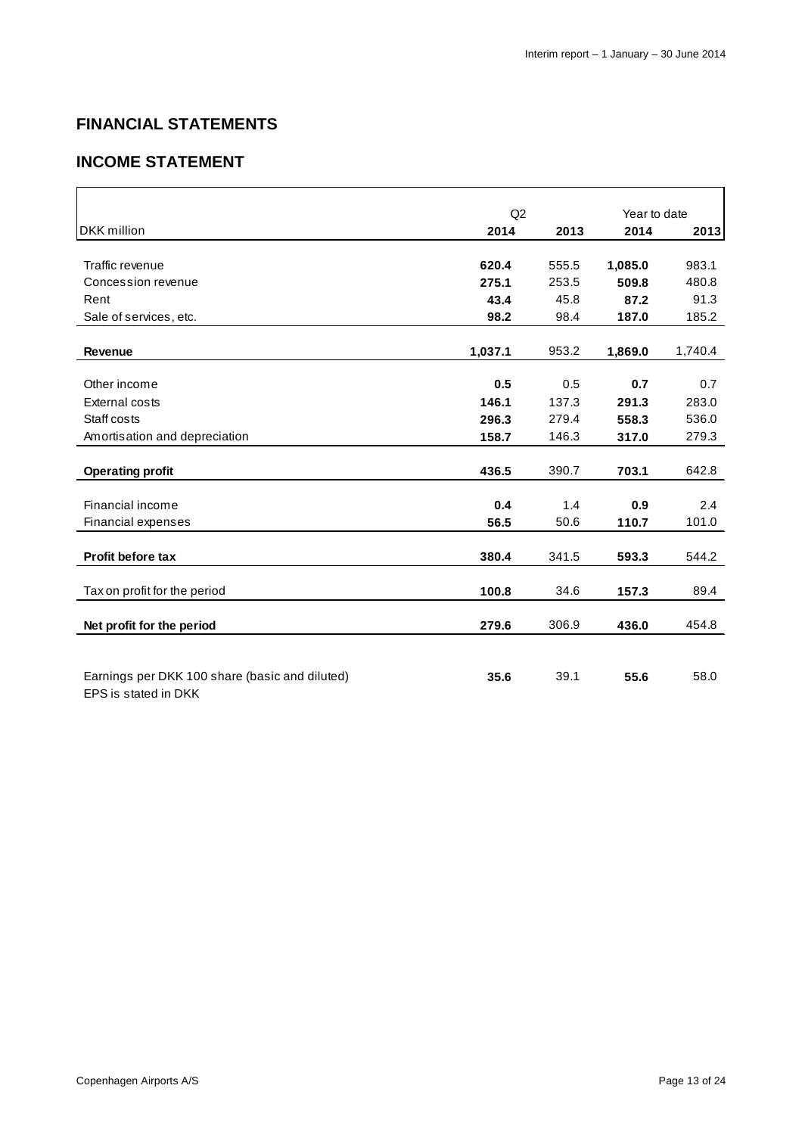# **FINANCIAL STATEMENTS**

# **INCOME STATEMENT**

|                                                | Q2      |       | Year to date |         |
|------------------------------------------------|---------|-------|--------------|---------|
| <b>DKK</b> million                             | 2014    | 2013  | 2014         | 2013    |
|                                                |         |       |              |         |
| Traffic revenue                                | 620.4   | 555.5 | 1,085.0      | 983.1   |
| Concession revenue                             | 275.1   | 253.5 | 509.8        | 480.8   |
| Rent                                           | 43.4    | 45.8  | 87.2         | 91.3    |
| Sale of services, etc.                         | 98.2    | 98.4  | 187.0        | 185.2   |
|                                                |         |       |              |         |
| <b>Revenue</b>                                 | 1,037.1 | 953.2 | 1,869.0      | 1,740.4 |
|                                                |         |       |              |         |
| Other income                                   | 0.5     | 0.5   | 0.7          | 0.7     |
| External costs                                 | 146.1   | 137.3 | 291.3        | 283.0   |
| Staff costs                                    | 296.3   | 279.4 | 558.3        | 536.0   |
| Amortisation and depreciation                  | 158.7   | 146.3 | 317.0        | 279.3   |
|                                                |         |       |              |         |
| <b>Operating profit</b>                        | 436.5   | 390.7 | 703.1        | 642.8   |
|                                                |         |       |              |         |
| Financial income                               | 0.4     | 1.4   | 0.9          | 2.4     |
| Financial expenses                             | 56.5    | 50.6  | 110.7        | 101.0   |
|                                                |         |       |              |         |
| <b>Profit before tax</b>                       | 380.4   | 341.5 | 593.3        | 544.2   |
| Tax on profit for the period                   | 100.8   | 34.6  | 157.3        | 89.4    |
|                                                |         |       |              |         |
| Net profit for the period                      | 279.6   | 306.9 | 436.0        | 454.8   |
|                                                |         |       |              |         |
|                                                |         |       |              |         |
| Earnings per DKK 100 share (basic and diluted) | 35.6    | 39.1  | 55.6         | 58.0    |
| EPS is stated in DKK                           |         |       |              |         |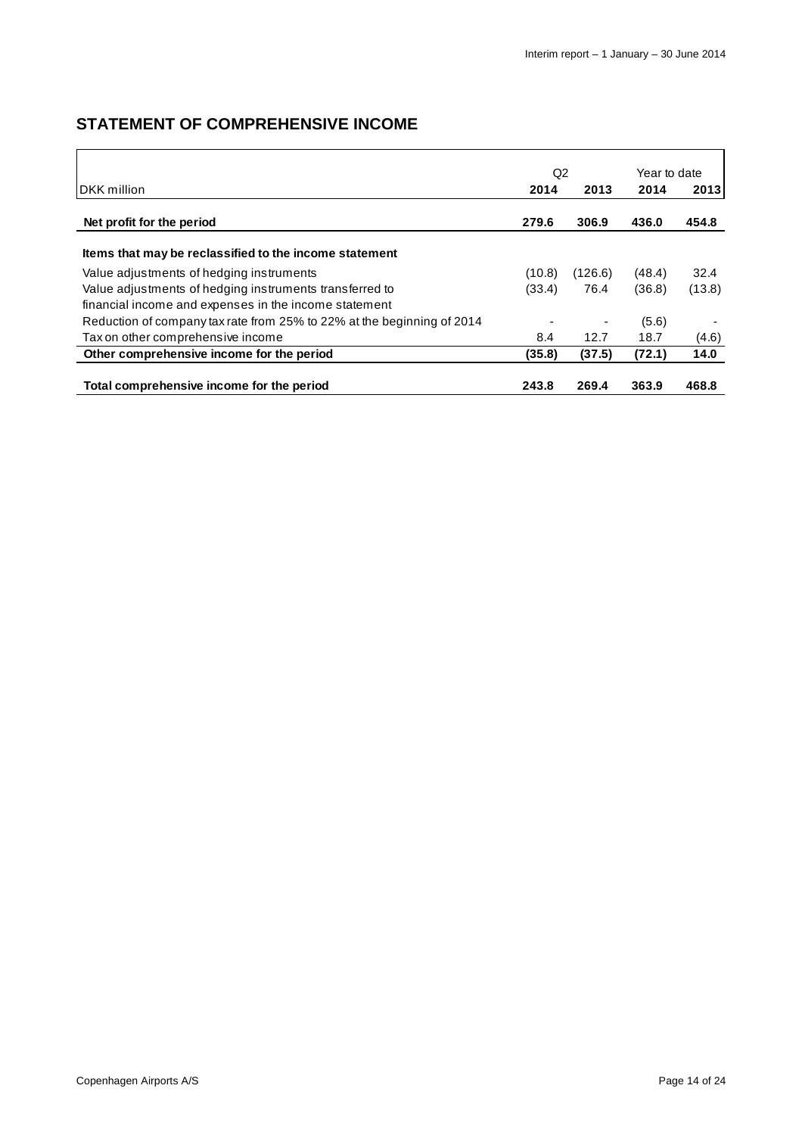# **STATEMENT OF COMPREHENSIVE INCOME**

|                                                                        |        | Q2      |        | Year to date |
|------------------------------------------------------------------------|--------|---------|--------|--------------|
| <b>IDKK</b> million                                                    |        | 2013    | 2014   | 2013         |
| Net profit for the period                                              | 279.6  | 306.9   | 436.0  | 454.8        |
| Items that may be reclassified to the income statement                 |        |         |        |              |
| Value adjustments of hedging instruments                               | (10.8) | (126.6) | (48.4) | 32.4         |
| Value adjustments of hedging instruments transferred to                | (33.4) | 76.4    | (36.8) | (13.8)       |
| financial income and expenses in the income statement                  |        |         |        |              |
| Reduction of company tax rate from 25% to 22% at the beginning of 2014 |        |         | (5.6)  |              |
| Tax on other comprehensive income                                      | 8.4    | 12.7    | 18.7   | (4.6)        |
| Other comprehensive income for the period                              | (35.8) | (37.5)  | (72.1) | 14.0         |
| Total comprehensive income for the period                              | 243.8  | 269.4   | 363.9  | 468.8        |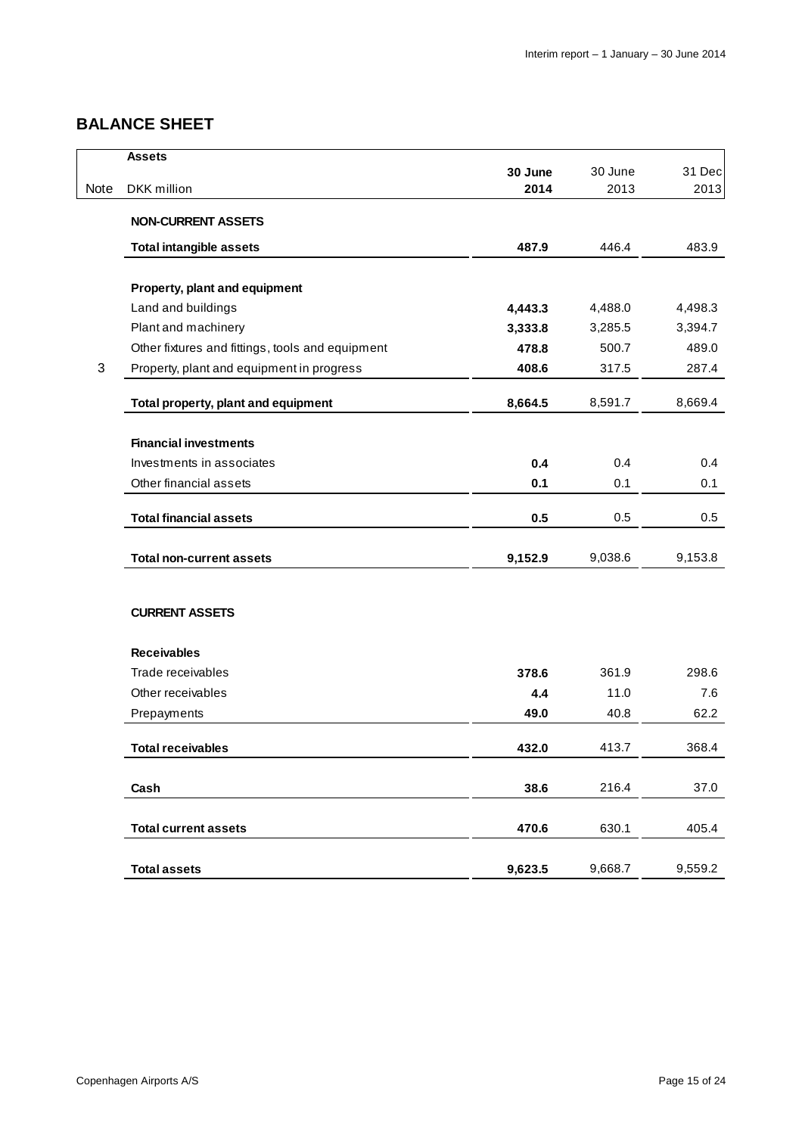# **BALANCE SHEET**

|      | <b>Assets</b>                                    |         |                                                                     |         |
|------|--------------------------------------------------|---------|---------------------------------------------------------------------|---------|
|      |                                                  | 30 June | 30 June                                                             | 31 Dec  |
| Note | DKK million                                      | 2014    |                                                                     | 2013    |
|      | <b>NON-CURRENT ASSETS</b>                        |         |                                                                     |         |
|      | <b>Total intangible assets</b>                   | 487.9   | 446.4                                                               | 483.9   |
|      | Property, plant and equipment                    |         |                                                                     |         |
|      | Land and buildings                               | 4,443.3 | 4,488.0                                                             | 4,498.3 |
|      | Plant and machinery                              | 3,333.8 | 3,285.5                                                             | 3,394.7 |
|      | Other fixtures and fittings, tools and equipment | 478.8   | 500.7                                                               | 489.0   |
| 3    | Property, plant and equipment in progress        | 408.6   | 317.5                                                               | 287.4   |
|      | Total property, plant and equipment              | 8,664.5 | 8,591.7                                                             | 8,669.4 |
|      | <b>Financial investments</b>                     |         |                                                                     |         |
|      | Investments in associates                        | 0.4     | 0.4                                                                 | 0.4     |
|      | Other financial assets                           | 0.1     | 0.1                                                                 | 0.1     |
|      | <b>Total financial assets</b>                    | 0.5     | 0.5                                                                 | 0.5     |
|      | <b>Total non-current assets</b>                  | 9,152.9 | 9,038.6                                                             | 9,153.8 |
|      | <b>CURRENT ASSETS</b>                            |         |                                                                     |         |
|      | <b>Receivables</b>                               |         |                                                                     |         |
|      | Trade receivables                                | 378.6   | 2013<br>361.9<br>11.0<br>40.8<br>413.7<br>216.4<br>630.1<br>9,668.7 | 298.6   |
|      | Other receivables                                | 4.4     |                                                                     | 7.6     |
|      | Prepayments                                      | 49.0    |                                                                     | 62.2    |
|      | <b>Total receivables</b>                         | 432.0   |                                                                     | 368.4   |
|      | Cash                                             | 38.6    |                                                                     | 37.0    |
|      | <b>Total current assets</b>                      | 470.6   |                                                                     | 405.4   |
|      | <b>Total assets</b>                              | 9,623.5 |                                                                     | 9,559.2 |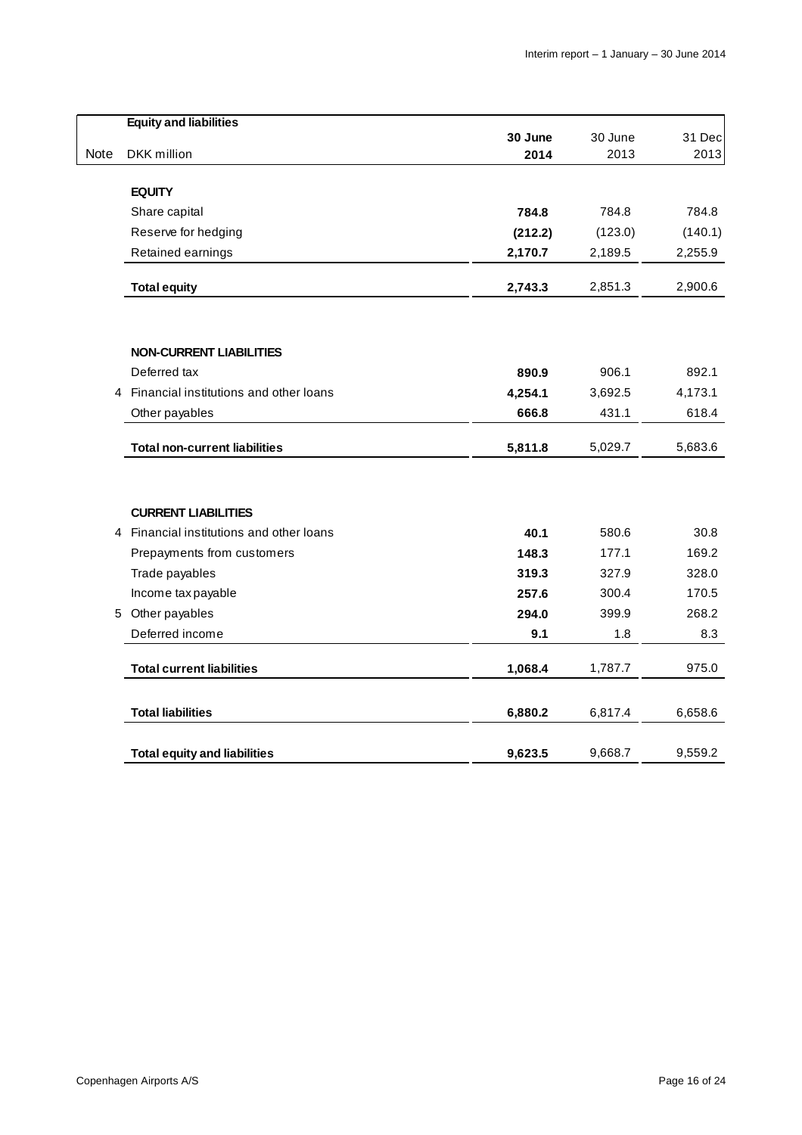|      | <b>Equity and liabilities</b>                                          |         |         |         |
|------|------------------------------------------------------------------------|---------|---------|---------|
|      |                                                                        | 30 June | 30 June | 31 Dec  |
| Note | DKK million                                                            | 2014    | 2013    | 2013    |
|      | <b>EQUITY</b>                                                          |         |         |         |
|      | Share capital                                                          | 784.8   | 784.8   | 784.8   |
|      | Reserve for hedging                                                    | (212.2) | (123.0) | (140.1) |
|      | Retained earnings                                                      | 2,170.7 | 2,189.5 | 2,255.9 |
|      | <b>Total equity</b>                                                    | 2,743.3 | 2,851.3 | 2,900.6 |
|      |                                                                        |         |         |         |
|      | <b>NON-CURRENT LIABILITIES</b>                                         |         |         |         |
|      | Deferred tax                                                           | 890.9   | 906.1   | 892.1   |
| 4    | Financial institutions and other loans                                 | 4,254.1 | 3,692.5 | 4,173.1 |
|      | Other payables                                                         | 666.8   | 431.1   | 618.4   |
|      | <b>Total non-current liabilities</b>                                   | 5,811.8 | 5,029.7 | 5,683.6 |
|      |                                                                        |         |         |         |
|      | <b>CURRENT LIABILITIES</b><br>4 Financial institutions and other loans | 40.1    | 580.6   | 30.8    |
|      | Prepayments from customers                                             | 148.3   | 177.1   | 169.2   |
|      | Trade payables                                                         | 319.3   | 327.9   | 328.0   |
|      | Income tax payable                                                     | 257.6   | 300.4   | 170.5   |
| 5    | Other payables                                                         | 294.0   | 399.9   | 268.2   |
|      | Deferred income                                                        | 9.1     | 1.8     | 8.3     |
|      | <b>Total current liabilities</b>                                       | 1,068.4 | 1,787.7 | 975.0   |
|      | <b>Total liabilities</b>                                               | 6,880.2 | 6,817.4 | 6,658.6 |
|      | <b>Total equity and liabilities</b>                                    | 9,623.5 | 9,668.7 | 9,559.2 |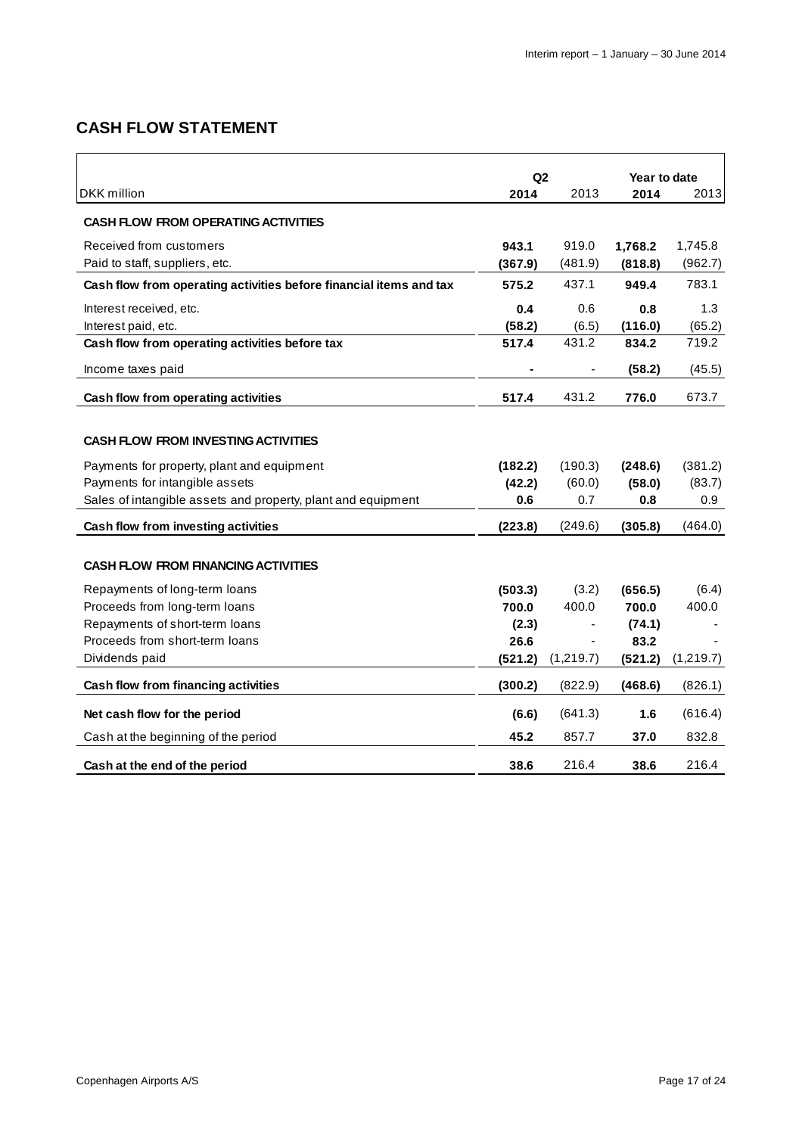# **CASH FLOW STATEMENT**

|                                                                    | Q2      |           | Year to date |           |  |
|--------------------------------------------------------------------|---------|-----------|--------------|-----------|--|
| DKK million                                                        | 2014    | 2013      | 2014         | 2013      |  |
| <b>CASH FLOW FROM OPERATING ACTIVITIES</b>                         |         |           |              |           |  |
| Received from customers                                            | 943.1   | 919.0     | 1,768.2      | 1,745.8   |  |
| Paid to staff, suppliers, etc.                                     | (367.9) | (481.9)   | (818.8)      | (962.7)   |  |
| Cash flow from operating activities before financial items and tax | 575.2   | 437.1     | 949.4        | 783.1     |  |
| Interest received, etc.                                            | 0.4     | 0.6       | 0.8          | 1.3       |  |
| Interest paid, etc.                                                | (58.2)  | (6.5)     | (116.0)      | (65.2)    |  |
| Cash flow from operating activities before tax                     | 517.4   | 431.2     | 834.2        | 719.2     |  |
| Income taxes paid                                                  |         |           | (58.2)       | (45.5)    |  |
| Cash flow from operating activities                                | 517.4   | 431.2     | 776.0        | 673.7     |  |
|                                                                    |         |           |              |           |  |
| <b>CASH FLOW FROM INVESTING ACTIVITIES</b>                         |         |           |              |           |  |
| Payments for property, plant and equipment                         | (182.2) | (190.3)   | (248.6)      | (381.2)   |  |
| Payments for intangible assets                                     | (42.2)  | (60.0)    | (58.0)       | (83.7)    |  |
| Sales of intangible assets and property, plant and equipment       | 0.6     | 0.7       | 0.8          | 0.9       |  |
| Cash flow from investing activities                                | (223.8) | (249.6)   | (305.8)      | (464.0)   |  |
|                                                                    |         |           |              |           |  |
| <b>CASH FLOW FROM FINANCING ACTIVITIES</b>                         |         |           |              |           |  |
| Repayments of long-term loans                                      | (503.3) | (3.2)     | (656.5)      | (6.4)     |  |
| Proceeds from long-term loans                                      | 700.0   | 400.0     | 700.0        | 400.0     |  |
| Repayments of short-term loans                                     | (2.3)   |           | (74.1)       |           |  |
| Proceeds from short-term loans                                     | 26.6    |           | 83.2         |           |  |
| Dividends paid                                                     | (521.2) | (1,219.7) | (521.2)      | (1,219.7) |  |
| Cash flow from financing activities                                | (300.2) | (822.9)   | (468.6)      | (826.1)   |  |
| Net cash flow for the period                                       | (6.6)   | (641.3)   | 1.6          | (616.4)   |  |
| Cash at the beginning of the period                                | 45.2    | 857.7     | 37.0         | 832.8     |  |
| Cash at the end of the period                                      | 38.6    | 216.4     | 38.6         | 216.4     |  |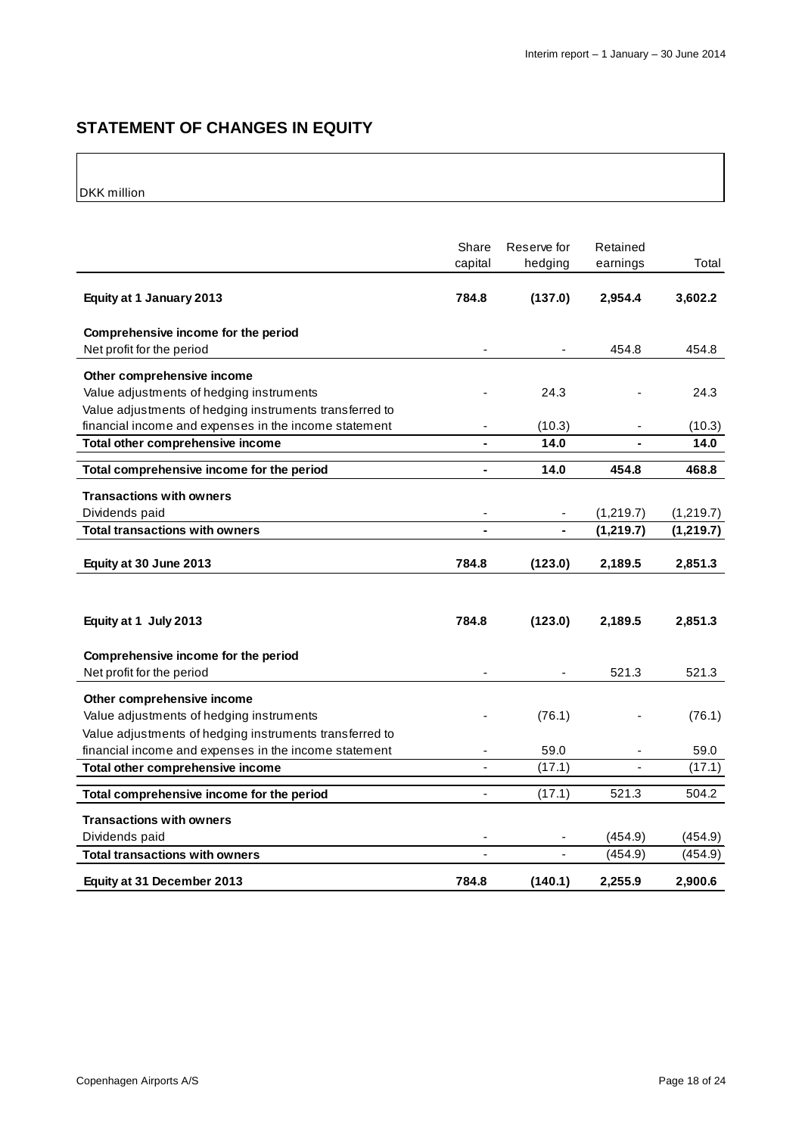# **STATEMENT OF CHANGES IN EQUITY**

DKK million

|                                                         | Share<br>capital | Reserve for<br>hedging | Retained<br>earnings | Total      |
|---------------------------------------------------------|------------------|------------------------|----------------------|------------|
| Equity at 1 January 2013                                | 784.8            | (137.0)                | 2,954.4              | 3,602.2    |
| Comprehensive income for the period                     |                  |                        |                      |            |
| Net profit for the period                               |                  |                        | 454.8                | 454.8      |
| Other comprehensive income                              |                  |                        |                      |            |
| Value adjustments of hedging instruments                |                  | 24.3                   |                      | 24.3       |
| Value adjustments of hedging instruments transferred to |                  |                        |                      |            |
| financial income and expenses in the income statement   | ٠                | (10.3)                 |                      | (10.3)     |
| Total other comprehensive income                        |                  | 14.0                   |                      | 14.0       |
| Total comprehensive income for the period               | $\blacksquare$   | 14.0                   | 454.8                | 468.8      |
| <b>Transactions with owners</b>                         |                  |                        |                      |            |
| Dividends paid                                          |                  |                        | (1,219.7)            | (1,219.7)  |
| Total transactions with owners                          | $\blacksquare$   |                        | (1, 219.7)           | (1, 219.7) |
|                                                         |                  |                        |                      |            |
| Equity at 30 June 2013                                  | 784.8            | (123.0)                | 2,189.5              | 2,851.3    |
|                                                         |                  |                        |                      |            |
|                                                         |                  |                        |                      |            |
| Equity at 1 July 2013                                   | 784.8            | (123.0)                | 2,189.5              | 2,851.3    |
| Comprehensive income for the period                     |                  |                        |                      |            |
| Net profit for the period                               |                  |                        | 521.3                | 521.3      |
|                                                         |                  |                        |                      |            |
| Other comprehensive income                              |                  |                        |                      |            |
| Value adjustments of hedging instruments                |                  | (76.1)                 |                      | (76.1)     |
| Value adjustments of hedging instruments transferred to |                  |                        |                      |            |
| financial income and expenses in the income statement   |                  | 59.0                   |                      | 59.0       |
| Total other comprehensive income                        |                  | (17.1)                 |                      | (17.1)     |
| Total comprehensive income for the period               |                  | (17.1)                 | 521.3                | 504.2      |
| <b>Transactions with owners</b>                         |                  |                        |                      |            |
| Dividends paid                                          |                  |                        | (454.9)              | (454.9)    |
| <b>Total transactions with owners</b>                   |                  |                        | (454.9)              | (454.9)    |
| Equity at 31 December 2013                              | 784.8            | (140.1)                | 2,255.9              | 2,900.6    |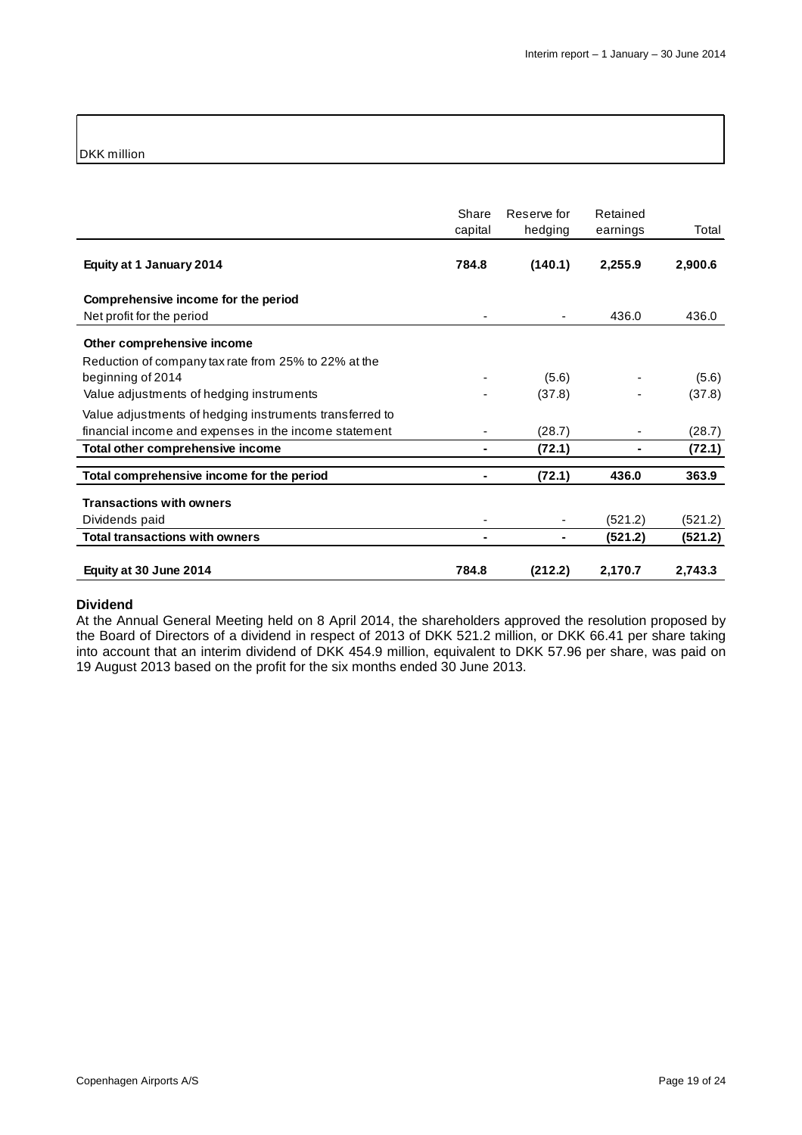### DKK million

|                                                         | Share<br>capital | Reserve for<br>hedging | Retained<br>earnings | Total   |
|---------------------------------------------------------|------------------|------------------------|----------------------|---------|
| Equity at 1 January 2014                                | 784.8            | (140.1)                | 2,255.9              | 2,900.6 |
| Comprehensive income for the period                     |                  |                        |                      |         |
| Net profit for the period                               |                  |                        | 436.0                | 436.0   |
| Other comprehensive income                              |                  |                        |                      |         |
| Reduction of company tax rate from 25% to 22% at the    |                  |                        |                      |         |
| beginning of 2014                                       |                  | (5.6)                  |                      | (5.6)   |
| Value adjustments of hedging instruments                |                  | (37.8)                 |                      | (37.8)  |
| Value adjustments of hedging instruments transferred to |                  |                        |                      |         |
| financial income and expenses in the income statement   |                  | (28.7)                 |                      | (28.7)  |
| Total other comprehensive income                        |                  | (72.1)                 |                      | (72.1)  |
| Total comprehensive income for the period               | ۰                | (72.1)                 | 436.0                | 363.9   |
| <b>Transactions with owners</b>                         |                  |                        |                      |         |
| Dividends paid                                          |                  |                        | (521.2)              | (521.2) |
| <b>Total transactions with owners</b>                   |                  |                        | (521.2)              | (521.2) |
| Equity at 30 June 2014                                  | 784.8            | (212.2)                | 2,170.7              | 2,743.3 |

#### **Dividend**

At the Annual General Meeting held on 8 April 2014, the shareholders approved the resolution proposed by the Board of Directors of a dividend in respect of 2013 of DKK 521.2 million, or DKK 66.41 per share taking into account that an interim dividend of DKK 454.9 million, equivalent to DKK 57.96 per share, was paid on 19 August 2013 based on the profit for the six months ended 30 June 2013.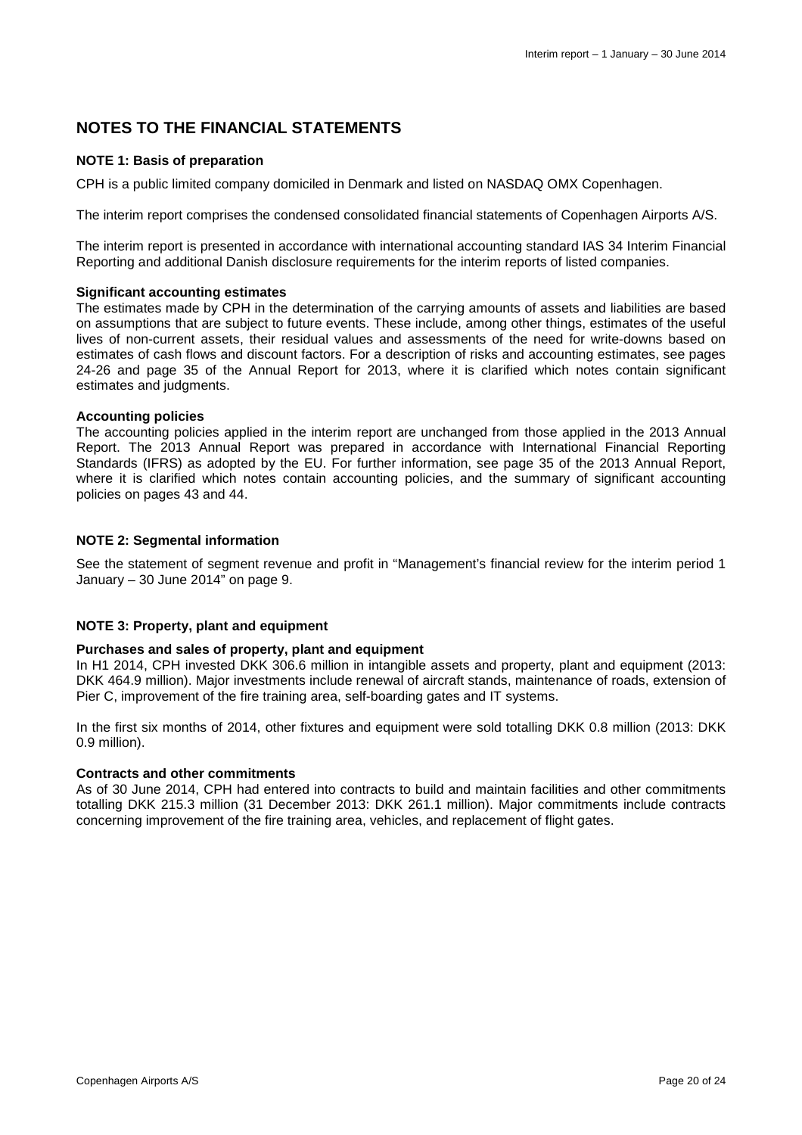### **NOTES TO THE FINANCIAL STATEMENTS**

### **NOTE 1: Basis of preparation**

CPH is a public limited company domiciled in Denmark and listed on NASDAQ OMX Copenhagen.

The interim report comprises the condensed consolidated financial statements of Copenhagen Airports A/S.

The interim report is presented in accordance with international accounting standard IAS 34 Interim Financial Reporting and additional Danish disclosure requirements for the interim reports of listed companies.

#### **Significant accounting estimates**

The estimates made by CPH in the determination of the carrying amounts of assets and liabilities are based on assumptions that are subject to future events. These include, among other things, estimates of the useful lives of non-current assets, their residual values and assessments of the need for write-downs based on estimates of cash flows and discount factors. For a description of risks and accounting estimates, see pages 24-26 and page 35 of the Annual Report for 2013, where it is clarified which notes contain significant estimates and judgments.

#### **Accounting policies**

The accounting policies applied in the interim report are unchanged from those applied in the 2013 Annual Report. The 2013 Annual Report was prepared in accordance with International Financial Reporting Standards (IFRS) as adopted by the EU. For further information, see page 35 of the 2013 Annual Report, where it is clarified which notes contain accounting policies, and the summary of significant accounting policies on pages 43 and 44.

#### **NOTE 2: Segmental information**

See the statement of segment revenue and profit in "Management's financial review for the interim period 1 January  $-30$  June 2014" on page 9.

#### **NOTE 3: Property, plant and equipment**

#### **Purchases and sales of property, plant and equipment**

In H1 2014, CPH invested DKK 306.6 million in intangible assets and property, plant and equipment (2013: DKK 464.9 million). Major investments include renewal of aircraft stands, maintenance of roads, extension of Pier C, improvement of the fire training area, self-boarding gates and IT systems.

In the first six months of 2014, other fixtures and equipment were sold totalling DKK 0.8 million (2013: DKK 0.9 million).

#### **Contracts and other commitments**

As of 30 June 2014, CPH had entered into contracts to build and maintain facilities and other commitments totalling DKK 215.3 million (31 December 2013: DKK 261.1 million). Major commitments include contracts concerning improvement of the fire training area, vehicles, and replacement of flight gates.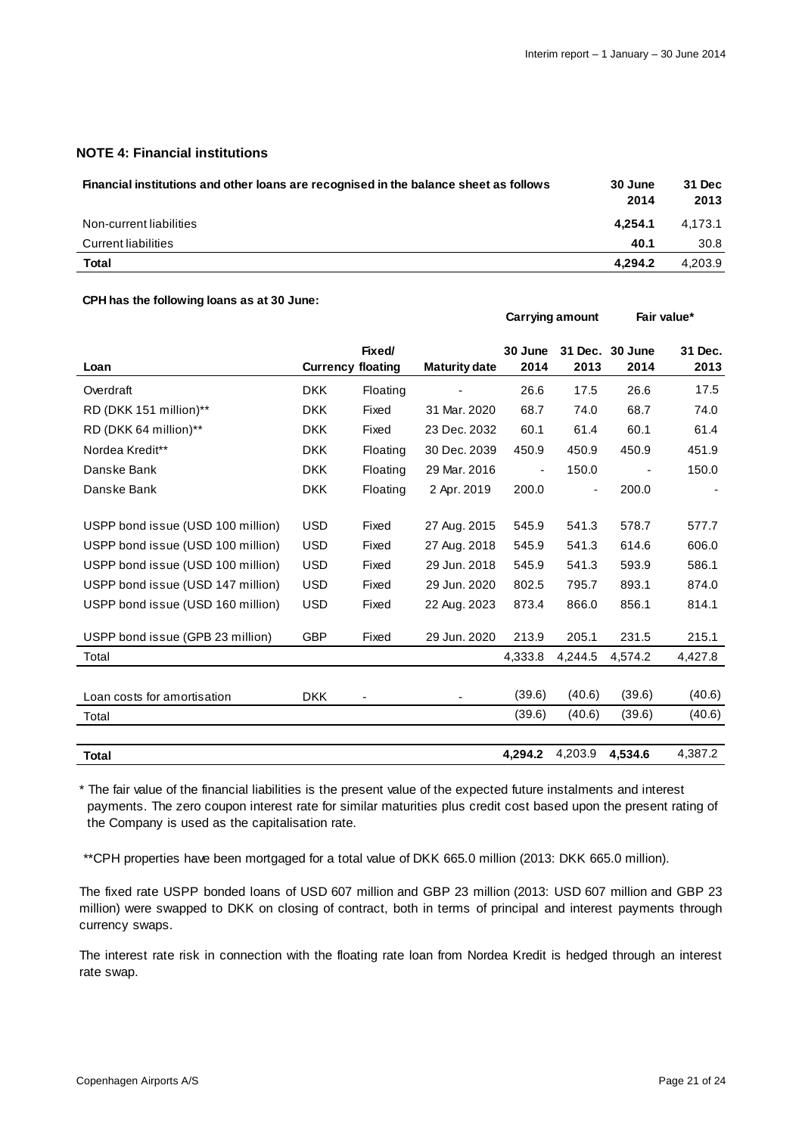**Carrying amount Fair value\*** 

#### **NOTE 4: Financial institutions**

| Financial institutions and other loans are recognised in the balance sheet as follows | 30 June<br>2014 | 31 Dec<br>2013 |
|---------------------------------------------------------------------------------------|-----------------|----------------|
| Non-current liabilities                                                               | 4.254.1         | 4.173.1        |
| <b>Current liabilities</b>                                                            | 40.1            | 30.8           |
| Total                                                                                 | 4.294.2         | 4,203.9        |

#### **CPH has the following loans as at 30 June:**

| Loan                              | <b>Currency floating</b> | Fixed/   | <b>Maturity date</b> | 30 June<br>2014          | 2013    | 31 Dec. 30 June<br>2014 | 31 Dec.<br>2013 |
|-----------------------------------|--------------------------|----------|----------------------|--------------------------|---------|-------------------------|-----------------|
|                                   |                          |          |                      |                          |         |                         |                 |
| Overdraft                         | <b>DKK</b>               | Floating |                      | 26.6                     | 17.5    | 26.6                    | 17.5            |
| RD (DKK 151 million)**            | <b>DKK</b>               | Fixed    | 31 Mar. 2020         | 68.7                     | 74.0    | 68.7                    | 74.0            |
| RD (DKK 64 million)**             | <b>DKK</b>               | Fixed    | 23 Dec. 2032         | 60.1                     | 61.4    | 60.1                    | 61.4            |
| Nordea Kredit**                   | <b>DKK</b>               | Floating | 30 Dec. 2039         | 450.9                    | 450.9   | 450.9                   | 451.9           |
| Danske Bank                       | <b>DKK</b>               | Floating | 29 Mar. 2016         | $\overline{\phantom{a}}$ | 150.0   |                         | 150.0           |
| Danske Bank                       | <b>DKK</b>               | Floating | 2 Apr. 2019          | 200.0                    |         | 200.0                   |                 |
|                                   |                          |          |                      |                          |         |                         |                 |
| USPP bond issue (USD 100 million) | <b>USD</b>               | Fixed    | 27 Aug. 2015         | 545.9                    | 541.3   | 578.7                   | 577.7           |
| USPP bond issue (USD 100 million) | <b>USD</b>               | Fixed    | 27 Aug. 2018         | 545.9                    | 541.3   | 614.6                   | 606.0           |
| USPP bond issue (USD 100 million) | <b>USD</b>               | Fixed    | 29 Jun. 2018         | 545.9                    | 541.3   | 593.9                   | 586.1           |
| USPP bond issue (USD 147 million) | <b>USD</b>               | Fixed    | 29 Jun. 2020         | 802.5                    | 795.7   | 893.1                   | 874.0           |
| USPP bond issue (USD 160 million) | <b>USD</b>               | Fixed    | 22 Aug. 2023         | 873.4                    | 866.0   | 856.1                   | 814.1           |
| USPP bond issue (GPB 23 million)  | <b>GBP</b>               | Fixed    | 29 Jun. 2020         | 213.9                    | 205.1   | 231.5                   | 215.1           |
| Total                             |                          |          |                      | 4,333.8                  | 4,244.5 | 4,574.2                 | 4,427.8         |
|                                   |                          |          |                      |                          |         |                         |                 |
| Loan costs for amortisation       | <b>DKK</b>               |          |                      | (39.6)                   | (40.6)  | (39.6)                  | (40.6)          |
| Total                             |                          |          |                      | (39.6)                   | (40.6)  | (39.6)                  | (40.6)          |
|                                   |                          |          |                      |                          |         |                         |                 |
| <b>Total</b>                      |                          |          |                      | 4,294.2                  | 4,203.9 | 4,534.6                 | 4,387.2         |

\* The fair value of the financial liabilities is the present value of the expected future instalments and interest payments. The zero coupon interest rate for similar maturities plus credit cost based upon the present rating of the Company is used as the capitalisation rate.

\*\*CPH properties have been mortgaged for a total value of DKK 665.0 million (2013: DKK 665.0 million).

The fixed rate USPP bonded loans of USD 607 million and GBP 23 million (2013: USD 607 million and GBP 23 million) were swapped to DKK on closing of contract, both in terms of principal and interest payments through currency swaps.

The interest rate risk in connection with the floating rate loan from Nordea Kredit is hedged through an interest rate swap.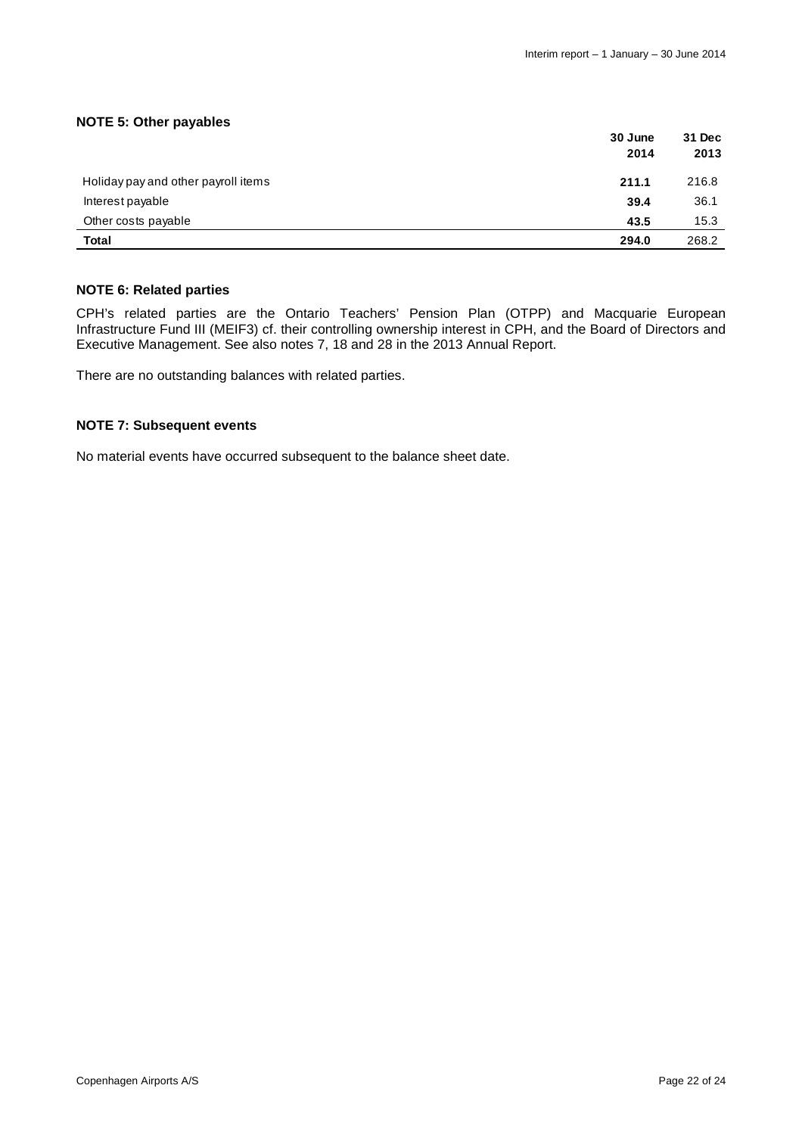### **NOTE 5: Other payables**

|                                     | 30 June<br>2014 | 31 Dec<br>2013 |
|-------------------------------------|-----------------|----------------|
| Holiday pay and other payroll items | 211.1           | 216.8          |
| Interest payable                    | 39.4            | 36.1           |
| Other costs payable                 | 43.5            | 15.3           |
| Total                               | 294.0           | 268.2          |

#### **NOTE 6: Related parties**

CPH's related parties are the Ontario Teachers' Pension Plan (OTPP) and Macquarie European Infrastructure Fund III (MEIF3) cf. their controlling ownership interest in CPH, and the Board of Directors and Executive Management. See also notes 7, 18 and 28 in the 2013 Annual Report.

There are no outstanding balances with related parties.

#### **NOTE 7: Subsequent events**

No material events have occurred subsequent to the balance sheet date.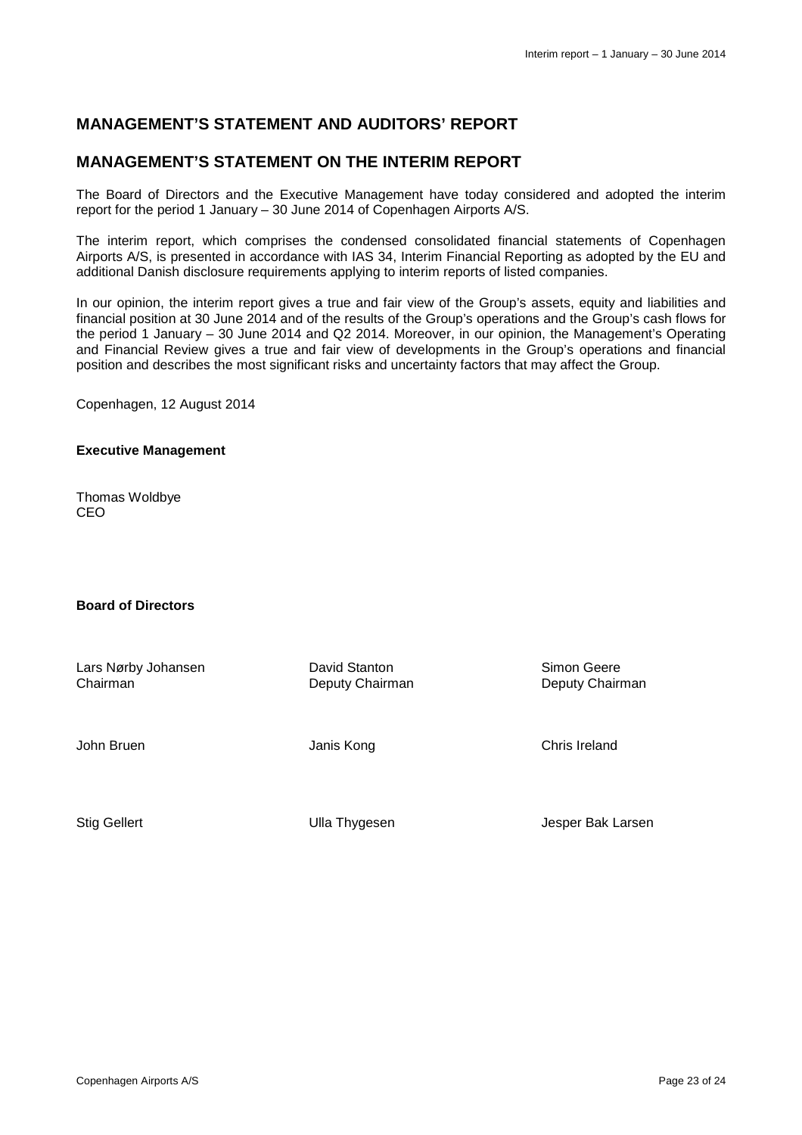# **MANAGEMENT'S STATEMENT AND AUDITORS' REPORT**

### **MANAGEMENT'S STATEMENT ON THE INTERIM REPORT**

The Board of Directors and the Executive Management have today considered and adopted the interim report for the period 1 January – 30 June 2014 of Copenhagen Airports A/S.

The interim report, which comprises the condensed consolidated financial statements of Copenhagen Airports A/S, is presented in accordance with IAS 34, Interim Financial Reporting as adopted by the EU and additional Danish disclosure requirements applying to interim reports of listed companies.

In our opinion, the interim report gives a true and fair view of the Group's assets, equity and liabilities and financial position at 30 June 2014 and of the results of the Group's operations and the Group's cash flows for the period 1 January – 30 June 2014 and Q2 2014. Moreover, in our opinion, the Management's Operating and Financial Review gives a true and fair view of developments in the Group's operations and financial position and describes the most significant risks and uncertainty factors that may affect the Group.

Copenhagen, 12 August 2014

#### **Executive Management**

Thomas Woldbye CEO

### **Board of Directors**

Lars Nørby Johansen Chairman John Bruen Stig Gellert David Stanton Deputy Chairman Janis Kong Ulla Thygesen Simon Geere Deputy Chairman Chris Ireland Jesper Bak Larsen